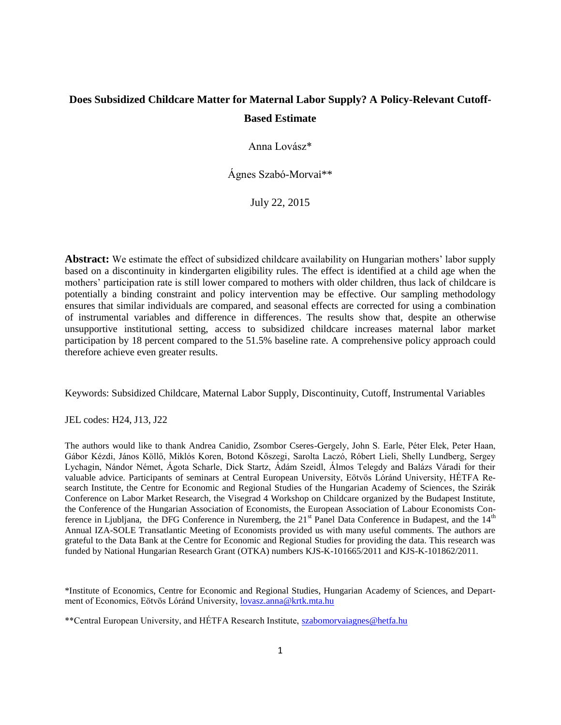## **Does Subsidized Childcare Matter for Maternal Labor Supply? A Policy-Relevant Cutoff-Based Estimate**

Anna Lovász\*

Ágnes Szabó-Morvai\*\*

July 22, 2015

**Abstract:** We estimate the effect of subsidized childcare availability on Hungarian mothers' labor supply based on a discontinuity in kindergarten eligibility rules. The effect is identified at a child age when the mothers' participation rate is still lower compared to mothers with older children, thus lack of childcare is potentially a binding constraint and policy intervention may be effective. Our sampling methodology ensures that similar individuals are compared, and seasonal effects are corrected for using a combination of instrumental variables and difference in differences. The results show that, despite an otherwise unsupportive institutional setting, access to subsidized childcare increases maternal labor market participation by 18 percent compared to the 51.5% baseline rate. A comprehensive policy approach could therefore achieve even greater results.

Keywords: Subsidized Childcare, Maternal Labor Supply, Discontinuity, Cutoff, Instrumental Variables

JEL codes: H24, J13, J22

The authors would like to thank Andrea Canidio, Zsombor Cseres-Gergely, John S. Earle, Péter Elek, Peter Haan, Gábor Kézdi, János Köllő, Miklós Koren, Botond Kőszegi, Sarolta Laczó, Róbert Lieli, Shelly Lundberg, Sergey Lychagin, Nándor Német, Ágota Scharle, Dick Startz, Ádám Szeidl, Álmos Telegdy and Balázs Váradi for their valuable advice. Participants of seminars at Central European University, Eötvös Lóránd University, HÉTFA Research Institute, the Centre for Economic and Regional Studies of the Hungarian Academy of Sciences, the Szirák Conference on Labor Market Research, the Visegrad 4 Workshop on Childcare organized by the Budapest Institute, the Conference of the Hungarian Association of Economists, the European Association of Labour Economists Conference in Ljubljana, the DFG Conference in Nuremberg, the 21<sup>st</sup> Panel Data Conference in Budapest, and the 14<sup>th</sup> Annual IZA-SOLE Transatlantic Meeting of Economists provided us with many useful comments. The authors are grateful to the Data Bank at the Centre for Economic and Regional Studies for providing the data. This research was funded by National Hungarian Research Grant (OTKA) numbers KJS-K-101665/2011 and KJS-K-101862/2011.

\*Institute of Economics, Centre for Economic and Regional Studies, Hungarian Academy of Sciences, and Department of Economics, Eötvös Lóránd University, [lovasz.anna@krtk.mta.hu](mailto:lovasz.anna@krtk.mta.hu)

\*\*Central European University, and HÉTFA Research Institute, [szabomorvaiagnes@hetfa.hu](http://webmail.krtk.mta.hu/src/compose.php?send_to=szabomorvaiagnes%40hetfa.hu)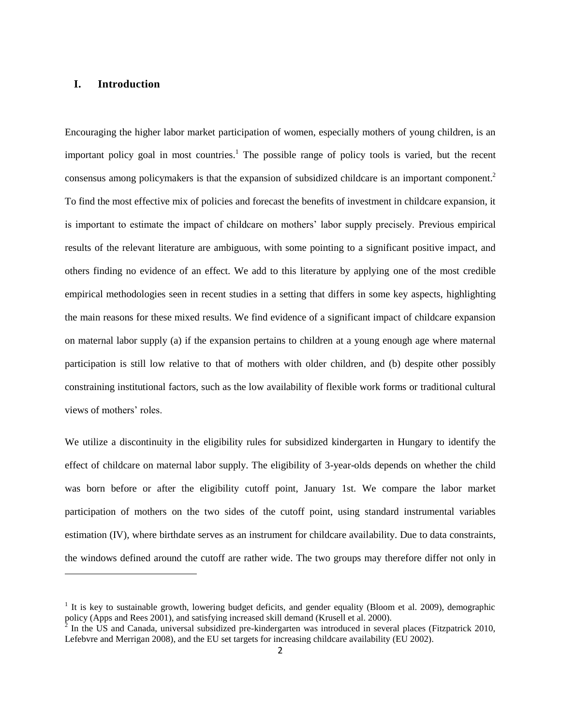#### **I. Introduction**

 $\overline{a}$ 

Encouraging the higher labor market participation of women, especially mothers of young children, is an important policy goal in most countries.<sup>1</sup> The possible range of policy tools is varied, but the recent consensus among policymakers is that the expansion of subsidized childcare is an important component.<sup>2</sup> To find the most effective mix of policies and forecast the benefits of investment in childcare expansion, it is important to estimate the impact of childcare on mothers' labor supply precisely. Previous empirical results of the relevant literature are ambiguous, with some pointing to a significant positive impact, and others finding no evidence of an effect. We add to this literature by applying one of the most credible empirical methodologies seen in recent studies in a setting that differs in some key aspects, highlighting the main reasons for these mixed results. We find evidence of a significant impact of childcare expansion on maternal labor supply (a) if the expansion pertains to children at a young enough age where maternal participation is still low relative to that of mothers with older children, and (b) despite other possibly constraining institutional factors, such as the low availability of flexible work forms or traditional cultural views of mothers' roles.

We utilize a discontinuity in the eligibility rules for subsidized kindergarten in Hungary to identify the effect of childcare on maternal labor supply. The eligibility of 3-year-olds depends on whether the child was born before or after the eligibility cutoff point, January 1st. We compare the labor market participation of mothers on the two sides of the cutoff point, using standard instrumental variables estimation (IV), where birthdate serves as an instrument for childcare availability. Due to data constraints, the windows defined around the cutoff are rather wide. The two groups may therefore differ not only in

 $1$  It is key to sustainable growth, lowering budget deficits, and gender equality (Bloom et al. 2009), demographic policy (Apps and Rees 2001), and satisfying increased skill demand (Krusell et al. 2000).

 $^2$  In the US and Canada, universal subsidized pre-kindergarten was introduced in several places (Fitzpatrick 2010, Lefebvre and Merrigan 2008), and the EU set targets for increasing childcare availability (EU 2002).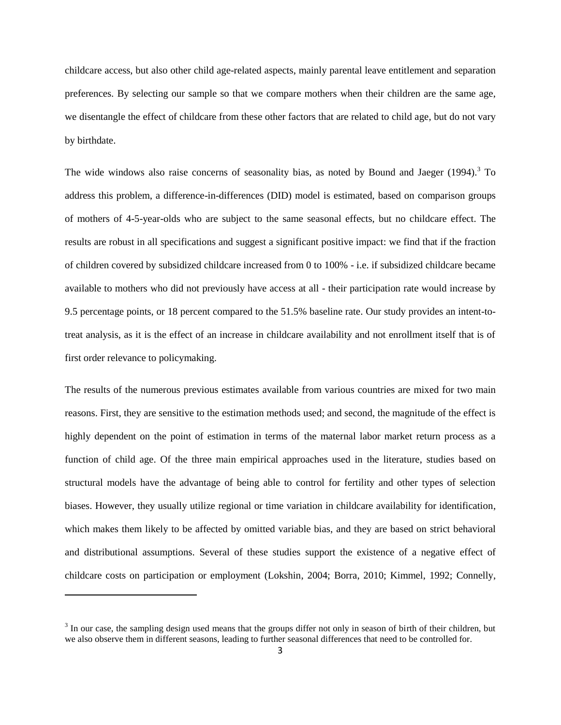childcare access, but also other child age-related aspects, mainly parental leave entitlement and separation preferences. By selecting our sample so that we compare mothers when their children are the same age, we disentangle the effect of childcare from these other factors that are related to child age, but do not vary by birthdate.

The wide windows also raise concerns of seasonality bias, as noted by Bound and Jaeger  $(1994)$ .<sup>3</sup> To address this problem, a difference-in-differences (DID) model is estimated, based on comparison groups of mothers of 4-5-year-olds who are subject to the same seasonal effects, but no childcare effect. The results are robust in all specifications and suggest a significant positive impact: we find that if the fraction of children covered by subsidized childcare increased from 0 to 100% - i.e. if subsidized childcare became available to mothers who did not previously have access at all - their participation rate would increase by 9.5 percentage points, or 18 percent compared to the 51.5% baseline rate. Our study provides an intent-totreat analysis, as it is the effect of an increase in childcare availability and not enrollment itself that is of first order relevance to policymaking.

The results of the numerous previous estimates available from various countries are mixed for two main reasons. First, they are sensitive to the estimation methods used; and second, the magnitude of the effect is highly dependent on the point of estimation in terms of the maternal labor market return process as a function of child age. Of the three main empirical approaches used in the literature, studies based on structural models have the advantage of being able to control for fertility and other types of selection biases. However, they usually utilize regional or time variation in childcare availability for identification, which makes them likely to be affected by omitted variable bias, and they are based on strict behavioral and distributional assumptions. Several of these studies support the existence of a negative effect of childcare costs on participation or employment (Lokshin, 2004; Borra, 2010; Kimmel, 1992; Connelly,

 $3$  In our case, the sampling design used means that the groups differ not only in season of birth of their children, but we also observe them in different seasons, leading to further seasonal differences that need to be controlled for.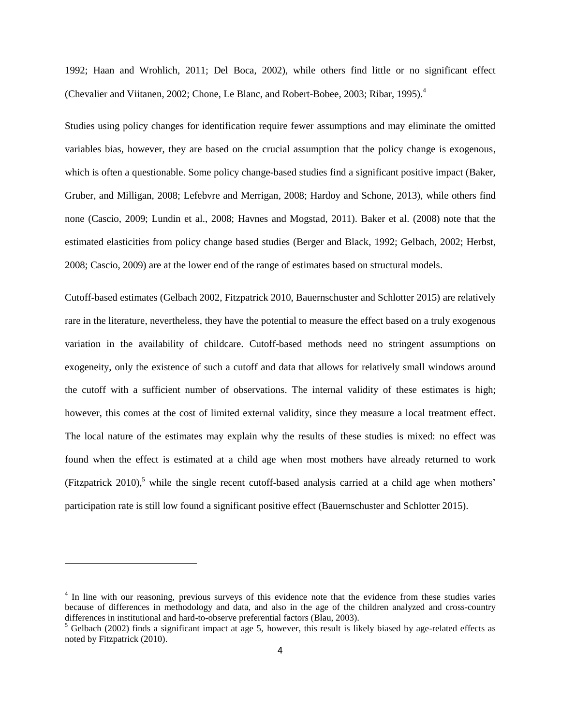1992; Haan and Wrohlich, 2011; Del Boca, 2002), while others find little or no significant effect (Chevalier and Viitanen, 2002; Chone, Le Blanc, and Robert-Bobee, 2003; Ribar, 1995).<sup>4</sup>

Studies using policy changes for identification require fewer assumptions and may eliminate the omitted variables bias, however, they are based on the crucial assumption that the policy change is exogenous, which is often a questionable. Some policy change-based studies find a significant positive impact (Baker, Gruber, and Milligan, 2008; Lefebvre and Merrigan, 2008; Hardoy and Schone, 2013), while others find none (Cascio, 2009; Lundin et al., 2008; Havnes and Mogstad, 2011). Baker et al. (2008) note that the estimated elasticities from policy change based studies (Berger and Black, 1992; Gelbach, 2002; Herbst, 2008; Cascio, 2009) are at the lower end of the range of estimates based on structural models.

Cutoff-based estimates (Gelbach 2002, Fitzpatrick 2010, Bauernschuster and Schlotter 2015) are relatively rare in the literature, nevertheless, they have the potential to measure the effect based on a truly exogenous variation in the availability of childcare. Cutoff-based methods need no stringent assumptions on exogeneity, only the existence of such a cutoff and data that allows for relatively small windows around the cutoff with a sufficient number of observations. The internal validity of these estimates is high; however, this comes at the cost of limited external validity, since they measure a local treatment effect. The local nature of the estimates may explain why the results of these studies is mixed: no effect was found when the effect is estimated at a child age when most mothers have already returned to work (Fitzpatrick 2010),<sup>5</sup> while the single recent cutoff-based analysis carried at a child age when mothers' participation rate is still low found a significant positive effect (Bauernschuster and Schlotter 2015).

<sup>&</sup>lt;sup>4</sup> In line with our reasoning, previous surveys of this evidence note that the evidence from these studies varies because of differences in methodology and data, and also in the age of the children analyzed and cross-country differences in institutional and hard-to-observe preferential factors (Blau, 2003).

 $<sup>5</sup>$  Gelbach (2002) finds a significant impact at age 5, however, this result is likely biased by age-related effects as</sup> noted by Fitzpatrick (2010).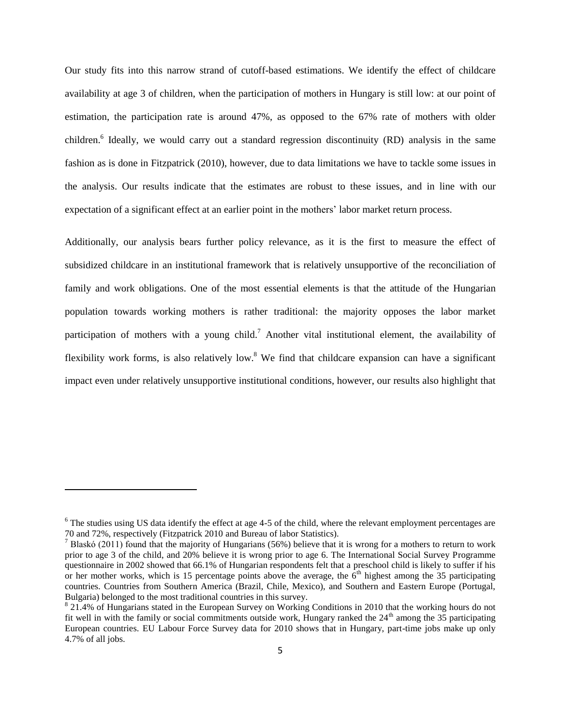Our study fits into this narrow strand of cutoff-based estimations. We identify the effect of childcare availability at age 3 of children, when the participation of mothers in Hungary is still low: at our point of estimation, the participation rate is around 47%, as opposed to the 67% rate of mothers with older children.<sup>6</sup> Ideally, we would carry out a standard regression discontinuity (RD) analysis in the same fashion as is done in Fitzpatrick (2010), however, due to data limitations we have to tackle some issues in the analysis. Our results indicate that the estimates are robust to these issues, and in line with our expectation of a significant effect at an earlier point in the mothers' labor market return process.

Additionally, our analysis bears further policy relevance, as it is the first to measure the effect of subsidized childcare in an institutional framework that is relatively unsupportive of the reconciliation of family and work obligations. One of the most essential elements is that the attitude of the Hungarian population towards working mothers is rather traditional: the majority opposes the labor market participation of mothers with a young child.<sup>7</sup> Another vital institutional element, the availability of flexibility work forms, is also relatively low.<sup>8</sup> We find that childcare expansion can have a significant impact even under relatively unsupportive institutional conditions, however, our results also highlight that

 $6$  The studies using US data identify the effect at age 4-5 of the child, where the relevant employment percentages are 70 and 72%, respectively (Fitzpatrick 2010 and Bureau of labor Statistics).

<sup>&</sup>lt;sup>7</sup> Blaskó (2011) found that the majority of Hungarians (56%) believe that it is wrong for a mothers to return to work prior to age 3 of the child, and 20% believe it is wrong prior to age 6. The International Social Survey Programme questionnaire in 2002 showed that 66.1% of Hungarian respondents felt that a preschool child is likely to suffer if his or her mother works, which is 15 percentage points above the average, the  $6<sup>th</sup>$  highest among the 35 participating countries. Countries from Southern America (Brazil, Chile, Mexico), and Southern and Eastern Europe (Portugal, Bulgaria) belonged to the most traditional countries in this survey.

<sup>&</sup>lt;sup>8</sup> 21.4% of Hungarians stated in the European Survey on Working Conditions in 2010 that the working hours do not fit well in with the family or social commitments outside work, Hungary ranked the  $24<sup>th</sup>$  among the 35 participating European countries. EU Labour Force Survey data for 2010 shows that in Hungary, part-time jobs make up only 4.7% of all jobs.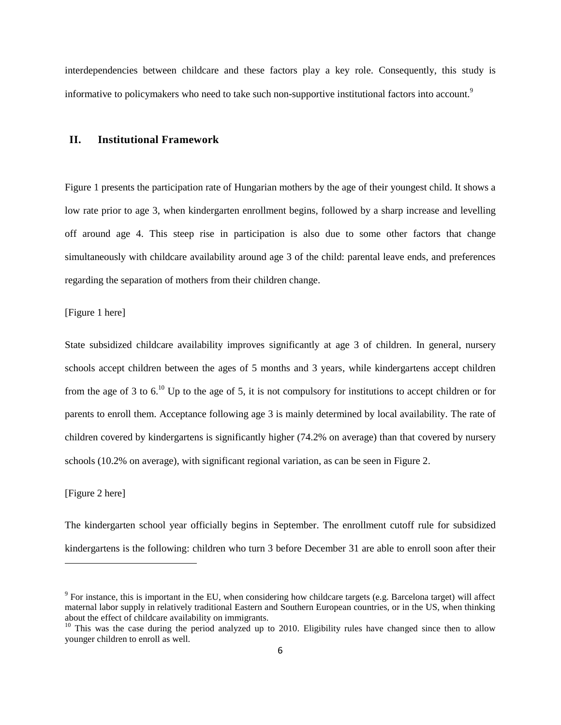interdependencies between childcare and these factors play a key role. Consequently, this study is informative to policymakers who need to take such non-supportive institutional factors into account.<sup>9</sup>

#### **II. Institutional Framework**

Figure 1 presents the participation rate of Hungarian mothers by the age of their youngest child. It shows a low rate prior to age 3, when kindergarten enrollment begins, followed by a sharp increase and levelling off around age 4. This steep rise in participation is also due to some other factors that change simultaneously with childcare availability around age 3 of the child: parental leave ends, and preferences regarding the separation of mothers from their children change.

[Figure 1 here]

State subsidized childcare availability improves significantly at age 3 of children. In general, nursery schools accept children between the ages of 5 months and 3 years, while kindergartens accept children from the age of 3 to 6.<sup>10</sup> Up to the age of 5, it is not compulsory for institutions to accept children or for parents to enroll them. Acceptance following age 3 is mainly determined by local availability. The rate of children covered by kindergartens is significantly higher (74.2% on average) than that covered by nursery schools (10.2% on average), with significant regional variation, as can be seen in Figure 2.

#### [Figure 2 here]

 $\overline{a}$ 

The kindergarten school year officially begins in September. The enrollment cutoff rule for subsidized kindergartens is the following: children who turn 3 before December 31 are able to enroll soon after their

 $9$  For instance, this is important in the EU, when considering how childcare targets (e.g. Barcelona target) will affect maternal labor supply in relatively traditional Eastern and Southern European countries, or in the US, when thinking about the effect of childcare availability on immigrants.

 $10$  This was the case during the period analyzed up to 2010. Eligibility rules have changed since then to allow younger children to enroll as well.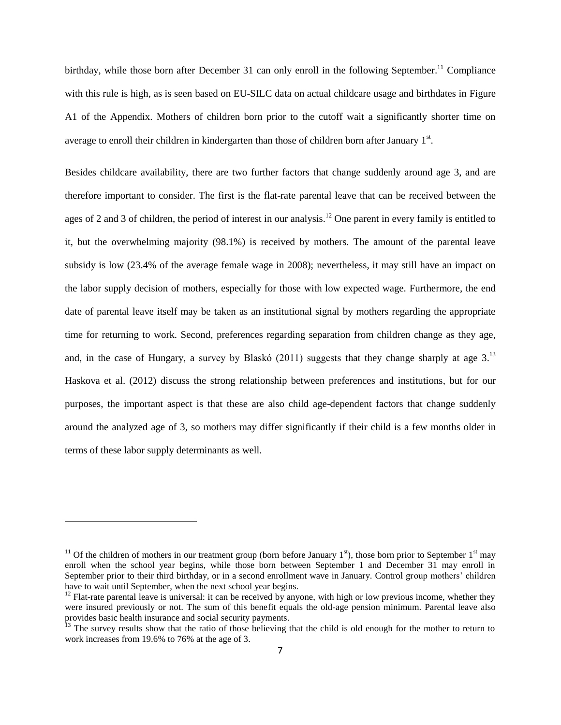birthday, while those born after December 31 can only enroll in the following September.<sup>11</sup> Compliance with this rule is high, as is seen based on EU-SILC data on actual childcare usage and birthdates in Figure A1 of the Appendix. Mothers of children born prior to the cutoff wait a significantly shorter time on average to enroll their children in kindergarten than those of children born after January  $1<sup>st</sup>$ .

Besides childcare availability, there are two further factors that change suddenly around age 3, and are therefore important to consider. The first is the flat-rate parental leave that can be received between the ages of 2 and 3 of children, the period of interest in our analysis.<sup>12</sup> One parent in every family is entitled to it, but the overwhelming majority (98.1%) is received by mothers. The amount of the parental leave subsidy is low (23.4% of the average female wage in 2008); nevertheless, it may still have an impact on the labor supply decision of mothers, especially for those with low expected wage. Furthermore, the end date of parental leave itself may be taken as an institutional signal by mothers regarding the appropriate time for returning to work. Second, preferences regarding separation from children change as they age, and, in the case of Hungary, a survey by Blaskó (2011) suggests that they change sharply at age  $3<sup>13</sup>$ Haskova et al. (2012) discuss the strong relationship between preferences and institutions, but for our purposes, the important aspect is that these are also child age-dependent factors that change suddenly around the analyzed age of 3, so mothers may differ significantly if their child is a few months older in terms of these labor supply determinants as well.

<sup>&</sup>lt;sup>11</sup> Of the children of mothers in our treatment group (born before January  $1<sup>st</sup>$ ), those born prior to September  $1<sup>st</sup>$  may enroll when the school year begins, while those born between September 1 and December 31 may enroll in September prior to their third birthday, or in a second enrollment wave in January. Control group mothers' children have to wait until September, when the next school year begins.

 $12$  Flat-rate parental leave is universal: it can be received by anyone, with high or low previous income, whether they were insured previously or not. The sum of this benefit equals the old-age pension minimum. Parental leave also provides basic health insurance and social security payments.

 $<sup>13</sup>$  The survey results show that the ratio of those believing that the child is old enough for the mother to return to</sup> work increases from 19.6% to 76% at the age of 3.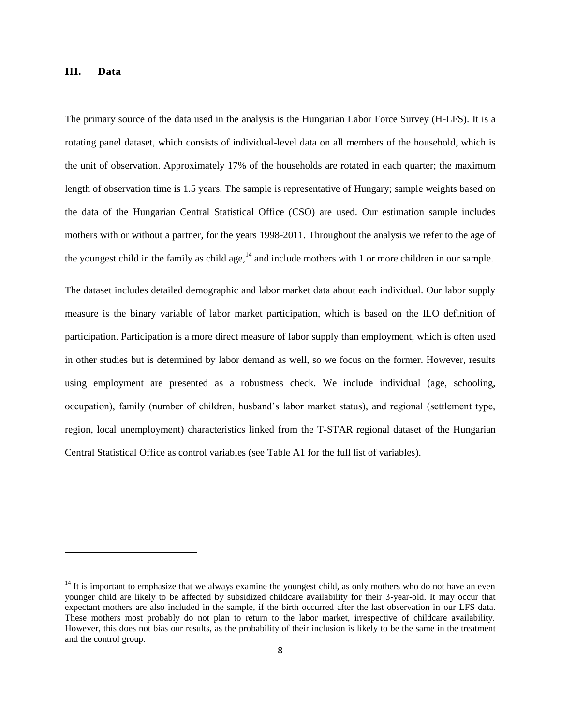#### **III. Data**

 $\overline{a}$ 

The primary source of the data used in the analysis is the Hungarian Labor Force Survey (H-LFS). It is a rotating panel dataset, which consists of individual-level data on all members of the household, which is the unit of observation. Approximately 17% of the households are rotated in each quarter; the maximum length of observation time is 1.5 years. The sample is representative of Hungary; sample weights based on the data of the Hungarian Central Statistical Office (CSO) are used. Our estimation sample includes mothers with or without a partner, for the years 1998-2011. Throughout the analysis we refer to the age of the youngest child in the family as child age, $14$  and include mothers with 1 or more children in our sample.

The dataset includes detailed demographic and labor market data about each individual. Our labor supply measure is the binary variable of labor market participation, which is based on the ILO definition of participation. Participation is a more direct measure of labor supply than employment, which is often used in other studies but is determined by labor demand as well, so we focus on the former. However, results using employment are presented as a robustness check. We include individual (age, schooling, occupation), family (number of children, husband's labor market status), and regional (settlement type, region, local unemployment) characteristics linked from the T-STAR regional dataset of the Hungarian Central Statistical Office as control variables (see Table A1 for the full list of variables).

 $14$  It is important to emphasize that we always examine the youngest child, as only mothers who do not have an even younger child are likely to be affected by subsidized childcare availability for their 3-year-old. It may occur that expectant mothers are also included in the sample, if the birth occurred after the last observation in our LFS data. These mothers most probably do not plan to return to the labor market, irrespective of childcare availability. However, this does not bias our results, as the probability of their inclusion is likely to be the same in the treatment and the control group.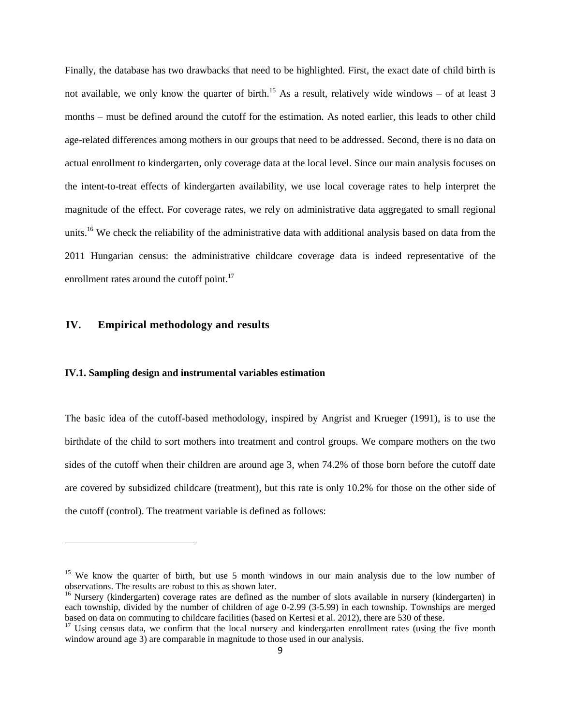Finally, the database has two drawbacks that need to be highlighted. First, the exact date of child birth is not available, we only know the quarter of birth.<sup>15</sup> As a result, relatively wide windows – of at least 3 months – must be defined around the cutoff for the estimation. As noted earlier, this leads to other child age-related differences among mothers in our groups that need to be addressed. Second, there is no data on actual enrollment to kindergarten, only coverage data at the local level. Since our main analysis focuses on the intent-to-treat effects of kindergarten availability, we use local coverage rates to help interpret the magnitude of the effect. For coverage rates, we rely on administrative data aggregated to small regional units.<sup>16</sup> We check the reliability of the administrative data with additional analysis based on data from the 2011 Hungarian census: the administrative childcare coverage data is indeed representative of the enrollment rates around the cutoff point.<sup>17</sup>

#### **IV. Empirical methodology and results**

 $\overline{a}$ 

#### **IV.1. Sampling design and instrumental variables estimation**

The basic idea of the cutoff-based methodology, inspired by Angrist and Krueger (1991), is to use the birthdate of the child to sort mothers into treatment and control groups. We compare mothers on the two sides of the cutoff when their children are around age 3, when 74.2% of those born before the cutoff date are covered by subsidized childcare (treatment), but this rate is only 10.2% for those on the other side of the cutoff (control). The treatment variable is defined as follows:

<sup>&</sup>lt;sup>15</sup> We know the quarter of birth, but use 5 month windows in our main analysis due to the low number of observations. The results are robust to this as shown later.

<sup>&</sup>lt;sup>16</sup> Nursery (kindergarten) coverage rates are defined as the number of slots available in nursery (kindergarten) in each township, divided by the number of children of age 0-2.99 (3-5.99) in each township. Townships are merged based on data on commuting to childcare facilities (based on Kertesi et al. 2012), there are 530 of these.

 $17$  Using census data, we confirm that the local nursery and kindergarten enrollment rates (using the five month window around age 3) are comparable in magnitude to those used in our analysis.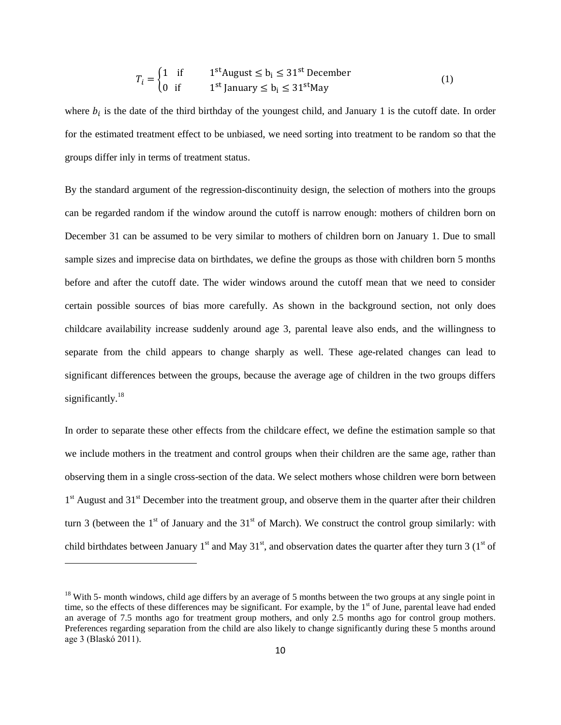$$
T_i = \begin{cases} 1 & \text{if} & 1^{\text{st}} \text{August} \le b_i \le 31^{\text{st}} \text{ December} \\ 0 & \text{if} & 1^{\text{st}} \text{ January} \le b_i \le 31^{\text{st}} \text{May} \end{cases}
$$
(1)

where  $b_i$  is the date of the third birthday of the youngest child, and January 1 is the cutoff date. In order for the estimated treatment effect to be unbiased, we need sorting into treatment to be random so that the groups differ inly in terms of treatment status.

By the standard argument of the regression-discontinuity design, the selection of mothers into the groups can be regarded random if the window around the cutoff is narrow enough: mothers of children born on December 31 can be assumed to be very similar to mothers of children born on January 1. Due to small sample sizes and imprecise data on birthdates, we define the groups as those with children born 5 months before and after the cutoff date. The wider windows around the cutoff mean that we need to consider certain possible sources of bias more carefully. As shown in the background section, not only does childcare availability increase suddenly around age 3, parental leave also ends, and the willingness to separate from the child appears to change sharply as well. These age-related changes can lead to significant differences between the groups, because the average age of children in the two groups differs significantly. $^{18}$ 

In order to separate these other effects from the childcare effect, we define the estimation sample so that we include mothers in the treatment and control groups when their children are the same age, rather than observing them in a single cross-section of the data. We select mothers whose children were born between 1<sup>st</sup> August and 31<sup>st</sup> December into the treatment group, and observe them in the quarter after their children turn 3 (between the  $1<sup>st</sup>$  of January and the  $31<sup>st</sup>$  of March). We construct the control group similarly: with child birthdates between January 1<sup>st</sup> and May 31<sup>st</sup>, and observation dates the quarter after they turn 3 (1<sup>st</sup> of

 $18$  With 5- month windows, child age differs by an average of 5 months between the two groups at any single point in time, so the effects of these differences may be significant. For example, by the 1<sup>st</sup> of June, parental leave had ended an average of 7.5 months ago for treatment group mothers, and only 2.5 months ago for control group mothers. Preferences regarding separation from the child are also likely to change significantly during these 5 months around age 3 (Blaskó 2011).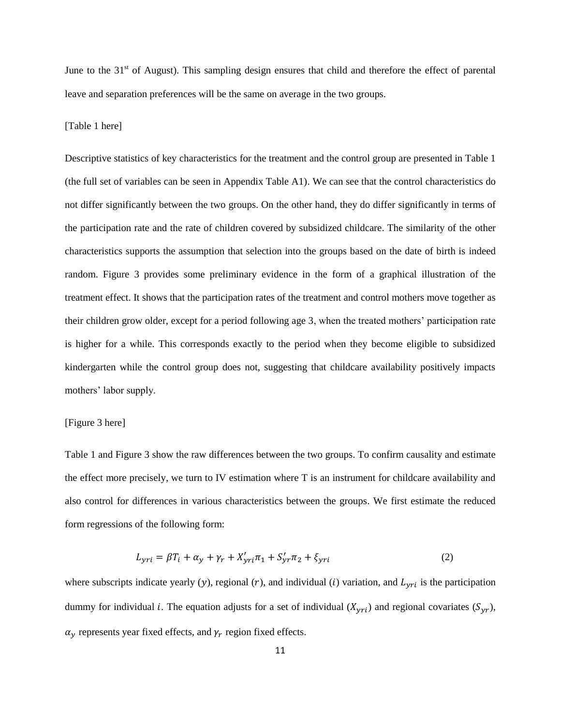June to the  $31<sup>st</sup>$  of August). This sampling design ensures that child and therefore the effect of parental leave and separation preferences will be the same on average in the two groups.

#### [Table 1 here]

Descriptive statistics of key characteristics for the treatment and the control group are presented in Table 1 (the full set of variables can be seen in Appendix Table A1). We can see that the control characteristics do not differ significantly between the two groups. On the other hand, they do differ significantly in terms of the participation rate and the rate of children covered by subsidized childcare. The similarity of the other characteristics supports the assumption that selection into the groups based on the date of birth is indeed random. Figure 3 provides some preliminary evidence in the form of a graphical illustration of the treatment effect. It shows that the participation rates of the treatment and control mothers move together as their children grow older, except for a period following age 3, when the treated mothers' participation rate is higher for a while. This corresponds exactly to the period when they become eligible to subsidized kindergarten while the control group does not, suggesting that childcare availability positively impacts mothers' labor supply.

#### [Figure 3 here]

Table 1 and Figure 3 show the raw differences between the two groups. To confirm causality and estimate the effect more precisely, we turn to IV estimation where T is an instrument for childcare availability and also control for differences in various characteristics between the groups. We first estimate the reduced form regressions of the following form:

$$
L_{yri} = \beta T_i + \alpha_y + \gamma_r + X'_{yri}\pi_1 + S'_{yri}\pi_2 + \xi_{yri}
$$
 (2)

where subscripts indicate yearly (y), regional (r), and individual (i) variation, and  $L_{yri}$  is the participation dummy for individual *i*. The equation adjusts for a set of individual  $(X_{yri})$  and regional covariates  $(S_{yr})$ ,  $\alpha_y$  represents year fixed effects, and  $\gamma_r$  region fixed effects.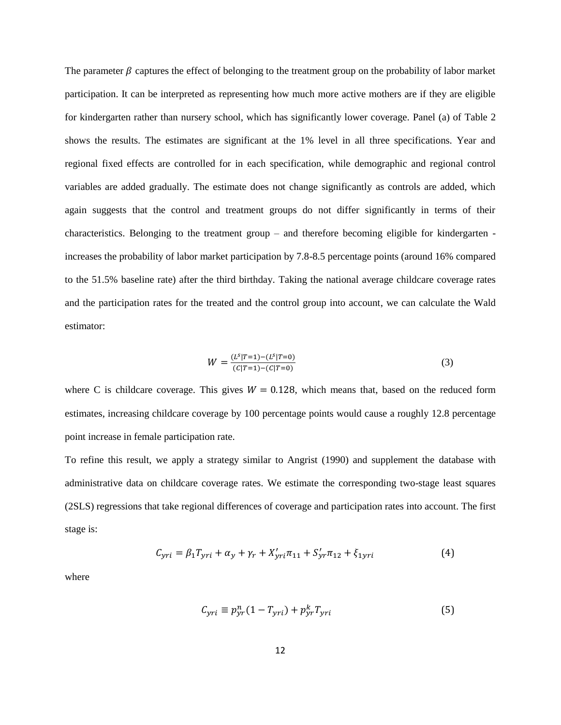The parameter  $\beta$  captures the effect of belonging to the treatment group on the probability of labor market participation. It can be interpreted as representing how much more active mothers are if they are eligible for kindergarten rather than nursery school, which has significantly lower coverage. Panel (a) of Table 2 shows the results. The estimates are significant at the 1% level in all three specifications. Year and regional fixed effects are controlled for in each specification, while demographic and regional control variables are added gradually. The estimate does not change significantly as controls are added, which again suggests that the control and treatment groups do not differ significantly in terms of their characteristics. Belonging to the treatment group – and therefore becoming eligible for kindergarten increases the probability of labor market participation by 7.8-8.5 percentage points (around 16% compared to the 51.5% baseline rate) after the third birthday. Taking the national average childcare coverage rates and the participation rates for the treated and the control group into account, we can calculate the Wald estimator:

$$
W = \frac{(L^{s}|T=1) - (L^{s}|T=0)}{(C|T=1) - (C|T=0)}
$$
\n(3)

where C is childcare coverage. This gives  $W = 0.128$ , which means that, based on the reduced form estimates, increasing childcare coverage by 100 percentage points would cause a roughly 12.8 percentage point increase in female participation rate.

To refine this result, we apply a strategy similar to Angrist (1990) and supplement the database with administrative data on childcare coverage rates. We estimate the corresponding two-stage least squares (2SLS) regressions that take regional differences of coverage and participation rates into account. The first stage is:

$$
C_{yri} = \beta_1 T_{yri} + \alpha_y + \gamma_r + X'_{yri} \pi_{11} + S'_{yr} \pi_{12} + \xi_{1yri}
$$
(4)

where

$$
C_{yri} \equiv p_{yr}^n (1 - T_{yri}) + p_{yr}^k T_{yri}
$$
\n<sup>(5)</sup>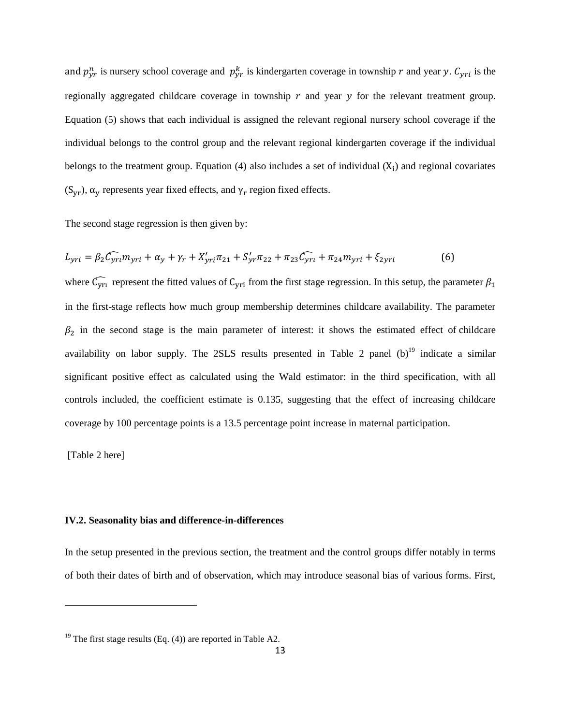and  $p_{yr}^n$  is nursery school coverage and  $p_{yr}^k$  is kindergarten coverage in township r and year y.  $C_{yri}$  is the regionally aggregated childcare coverage in township  $r$  and year  $\gamma$  for the relevant treatment group. Equation (5) shows that each individual is assigned the relevant regional nursery school coverage if the individual belongs to the control group and the relevant regional kindergarten coverage if the individual belongs to the treatment group. Equation  $(4)$  also includes a set of individual  $(X_i)$  and regional covariates  $(S_{yr})$ ,  $\alpha_y$  represents year fixed effects, and  $\gamma_r$  region fixed effects.

The second stage regression is then given by:

$$
L_{yri} = \beta_2 \widehat{C_{yri}} m_{yri} + \alpha_y + \gamma_r + X'_{yri} \pi_{21} + S'_{yri} \pi_{22} + \pi_{23} \widehat{C_{yri}} + \pi_{24} m_{yri} + \xi_{2yri}
$$
(6)

where  $\widehat{C_{\text{yri}}}$  represent the fitted values of  $C_{\text{yri}}$  from the first stage regression. In this setup, the parameter  $\beta_1$ in the first-stage reflects how much group membership determines childcare availability. The parameter  $\beta_2$  in the second stage is the main parameter of interest: it shows the estimated effect of childcare availability on labor supply. The 2SLS results presented in Table 2 panel  $(b)^{19}$  indicate a similar significant positive effect as calculated using the Wald estimator: in the third specification, with all controls included, the coefficient estimate is 0.135, suggesting that the effect of increasing childcare coverage by 100 percentage points is a 13.5 percentage point increase in maternal participation.

[Table 2 here]

 $\overline{a}$ 

#### **IV.2. Seasonality bias and difference-in-differences**

In the setup presented in the previous section, the treatment and the control groups differ notably in terms of both their dates of birth and of observation, which may introduce seasonal bias of various forms. First,

<sup>&</sup>lt;sup>19</sup> The first stage results (Eq. (4)) are reported in Table A2.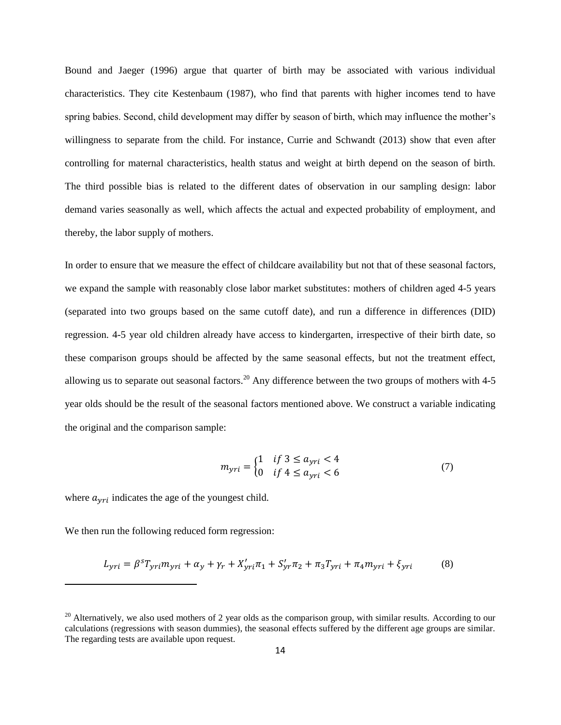Bound and Jaeger (1996) argue that quarter of birth may be associated with various individual characteristics. They cite Kestenbaum (1987), who find that parents with higher incomes tend to have spring babies. Second, child development may differ by season of birth, which may influence the mother's willingness to separate from the child. For instance, Currie and Schwandt (2013) show that even after controlling for maternal characteristics, health status and weight at birth depend on the season of birth. The third possible bias is related to the different dates of observation in our sampling design: labor demand varies seasonally as well, which affects the actual and expected probability of employment, and thereby, the labor supply of mothers.

In order to ensure that we measure the effect of childcare availability but not that of these seasonal factors, we expand the sample with reasonably close labor market substitutes: mothers of children aged 4-5 years (separated into two groups based on the same cutoff date), and run a difference in differences (DID) regression. 4-5 year old children already have access to kindergarten, irrespective of their birth date, so these comparison groups should be affected by the same seasonal effects, but not the treatment effect, allowing us to separate out seasonal factors.<sup>20</sup> Any difference between the two groups of mothers with 4-5 year olds should be the result of the seasonal factors mentioned above. We construct a variable indicating the original and the comparison sample:

$$
m_{yri} = \begin{cases} 1 & \text{if } 3 \le a_{yri} < 4\\ 0 & \text{if } 4 \le a_{yri} < 6 \end{cases}
$$
 (7)

where  $a_{\gamma r i}$  indicates the age of the youngest child.

We then run the following reduced form regression:

$$
L_{yri} = \beta^{s} T_{yri} m_{yri} + \alpha_{y} + \gamma_{r} + X'_{yri} \pi_{1} + S'_{yr} \pi_{2} + \pi_{3} T_{yri} + \pi_{4} m_{yri} + \xi_{yri}
$$
(8)

 $^{20}$  Alternatively, we also used mothers of 2 year olds as the comparison group, with similar results. According to our calculations (regressions with season dummies), the seasonal effects suffered by the different age groups are similar. The regarding tests are available upon request.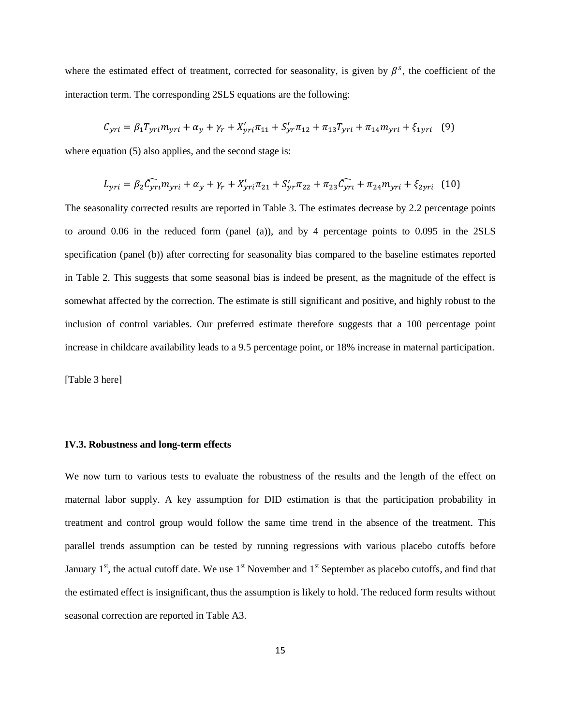where the estimated effect of treatment, corrected for seasonality, is given by  $\beta^s$ , the coefficient of the interaction term. The corresponding 2SLS equations are the following:

$$
C_{yri} = \beta_1 T_{yri} m_{yri} + \alpha_y + \gamma_r + X'_{yri} \pi_{11} + S'_{yri} \pi_{12} + \pi_{13} T_{yri} + \pi_{14} m_{yri} + \xi_{1yri} \tag{9}
$$

where equation (5) also applies, and the second stage is:

$$
L_{yri} = \beta_2 C_{yri} m_{yri} + \alpha_y + \gamma_r + X'_{yri} \pi_{21} + S'_{yr} \pi_{22} + \pi_{23} C_{yri} + \pi_{24} m_{yri} + \xi_{2yri} \tag{10}
$$

The seasonality corrected results are reported in Table 3. The estimates decrease by 2.2 percentage points to around 0.06 in the reduced form (panel (a)), and by 4 percentage points to 0.095 in the 2SLS specification (panel (b)) after correcting for seasonality bias compared to the baseline estimates reported in Table 2. This suggests that some seasonal bias is indeed be present, as the magnitude of the effect is somewhat affected by the correction. The estimate is still significant and positive, and highly robust to the inclusion of control variables. Our preferred estimate therefore suggests that a 100 percentage point increase in childcare availability leads to a 9.5 percentage point, or 18% increase in maternal participation.

[Table 3 here]

#### **IV.3. Robustness and long-term effects**

We now turn to various tests to evaluate the robustness of the results and the length of the effect on maternal labor supply. A key assumption for DID estimation is that the participation probability in treatment and control group would follow the same time trend in the absence of the treatment. This parallel trends assumption can be tested by running regressions with various placebo cutoffs before January  $1<sup>st</sup>$ , the actual cutoff date. We use  $1<sup>st</sup>$  November and  $1<sup>st</sup>$  September as placebo cutoffs, and find that the estimated effect is insignificant, thus the assumption is likely to hold. The reduced form results without seasonal correction are reported in Table A3.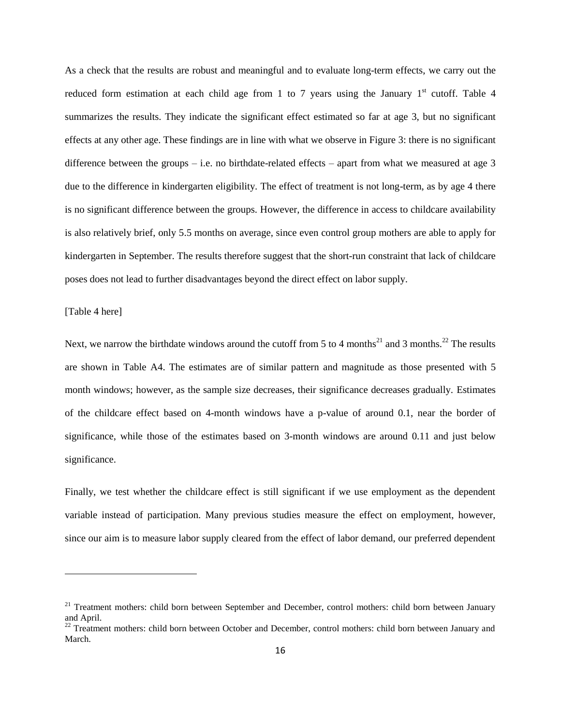As a check that the results are robust and meaningful and to evaluate long-term effects, we carry out the reduced form estimation at each child age from 1 to 7 years using the January  $1<sup>st</sup>$  cutoff. Table 4 summarizes the results. They indicate the significant effect estimated so far at age 3, but no significant effects at any other age. These findings are in line with what we observe in Figure 3: there is no significant difference between the groups – i.e. no birthdate-related effects – apart from what we measured at age  $3$ due to the difference in kindergarten eligibility. The effect of treatment is not long-term, as by age 4 there is no significant difference between the groups. However, the difference in access to childcare availability is also relatively brief, only 5.5 months on average, since even control group mothers are able to apply for kindergarten in September. The results therefore suggest that the short-run constraint that lack of childcare poses does not lead to further disadvantages beyond the direct effect on labor supply.

[Table 4 here]

 $\overline{a}$ 

Next, we narrow the birthdate windows around the cutoff from 5 to 4 months<sup>21</sup> and 3 months.<sup>22</sup> The results are shown in Table A4. The estimates are of similar pattern and magnitude as those presented with 5 month windows; however, as the sample size decreases, their significance decreases gradually. Estimates of the childcare effect based on 4-month windows have a p-value of around 0.1, near the border of significance, while those of the estimates based on 3-month windows are around 0.11 and just below significance.

Finally, we test whether the childcare effect is still significant if we use employment as the dependent variable instead of participation. Many previous studies measure the effect on employment, however, since our aim is to measure labor supply cleared from the effect of labor demand, our preferred dependent

<sup>&</sup>lt;sup>21</sup> Treatment mothers: child born between September and December, control mothers: child born between January and April.

<sup>&</sup>lt;sup>22</sup> Treatment mothers: child born between October and December, control mothers: child born between January and March.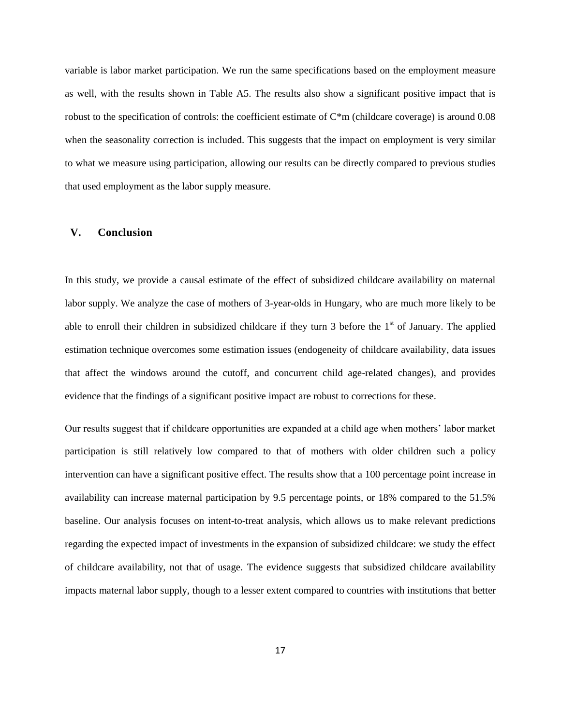variable is labor market participation. We run the same specifications based on the employment measure as well, with the results shown in Table A5. The results also show a significant positive impact that is robust to the specification of controls: the coefficient estimate of  $C<sup>*</sup>m$  (childcare coverage) is around 0.08 when the seasonality correction is included. This suggests that the impact on employment is very similar to what we measure using participation, allowing our results can be directly compared to previous studies that used employment as the labor supply measure.

#### **V. Conclusion**

In this study, we provide a causal estimate of the effect of subsidized childcare availability on maternal labor supply. We analyze the case of mothers of 3-year-olds in Hungary, who are much more likely to be able to enroll their children in subsidized childcare if they turn 3 before the  $1<sup>st</sup>$  of January. The applied estimation technique overcomes some estimation issues (endogeneity of childcare availability, data issues that affect the windows around the cutoff, and concurrent child age-related changes), and provides evidence that the findings of a significant positive impact are robust to corrections for these.

Our results suggest that if childcare opportunities are expanded at a child age when mothers' labor market participation is still relatively low compared to that of mothers with older children such a policy intervention can have a significant positive effect. The results show that a 100 percentage point increase in availability can increase maternal participation by 9.5 percentage points, or 18% compared to the 51.5% baseline. Our analysis focuses on intent-to-treat analysis, which allows us to make relevant predictions regarding the expected impact of investments in the expansion of subsidized childcare: we study the effect of childcare availability, not that of usage. The evidence suggests that subsidized childcare availability impacts maternal labor supply, though to a lesser extent compared to countries with institutions that better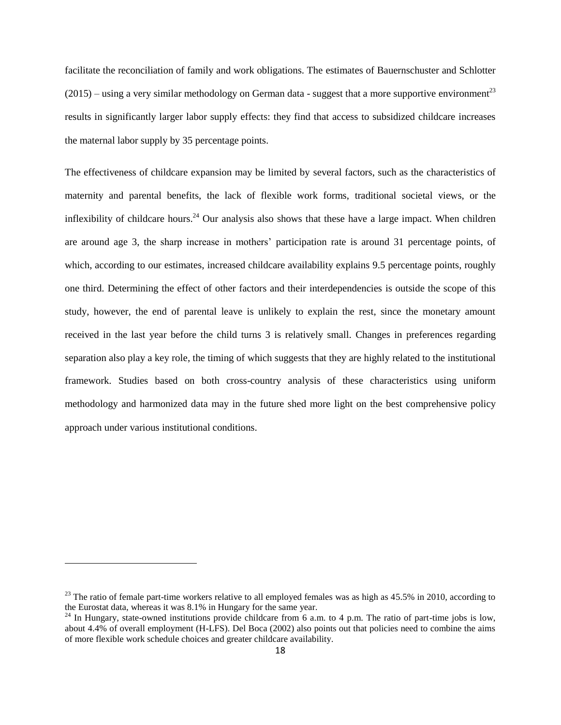facilitate the reconciliation of family and work obligations. The estimates of Bauernschuster and Schlotter  $(2015)$  – using a very similar methodology on German data - suggest that a more supportive environment<sup>23</sup> results in significantly larger labor supply effects: they find that access to subsidized childcare increases the maternal labor supply by 35 percentage points.

The effectiveness of childcare expansion may be limited by several factors, such as the characteristics of maternity and parental benefits, the lack of flexible work forms, traditional societal views, or the inflexibility of childcare hours.<sup>24</sup> Our analysis also shows that these have a large impact. When children are around age 3, the sharp increase in mothers' participation rate is around 31 percentage points, of which, according to our estimates, increased childcare availability explains 9.5 percentage points, roughly one third. Determining the effect of other factors and their interdependencies is outside the scope of this study, however, the end of parental leave is unlikely to explain the rest, since the monetary amount received in the last year before the child turns 3 is relatively small. Changes in preferences regarding separation also play a key role, the timing of which suggests that they are highly related to the institutional framework. Studies based on both cross-country analysis of these characteristics using uniform methodology and harmonized data may in the future shed more light on the best comprehensive policy approach under various institutional conditions.

 $^{23}$  The ratio of female part-time workers relative to all employed females was as high as 45.5% in 2010, according to the Eurostat data, whereas it was 8.1% in Hungary for the same year.

<sup>&</sup>lt;sup>24</sup> In Hungary, state-owned institutions provide childcare from 6 a.m. to 4 p.m. The ratio of part-time jobs is low, about 4.4% of overall employment (H-LFS). Del Boca (2002) also points out that policies need to combine the aims of more flexible work schedule choices and greater childcare availability.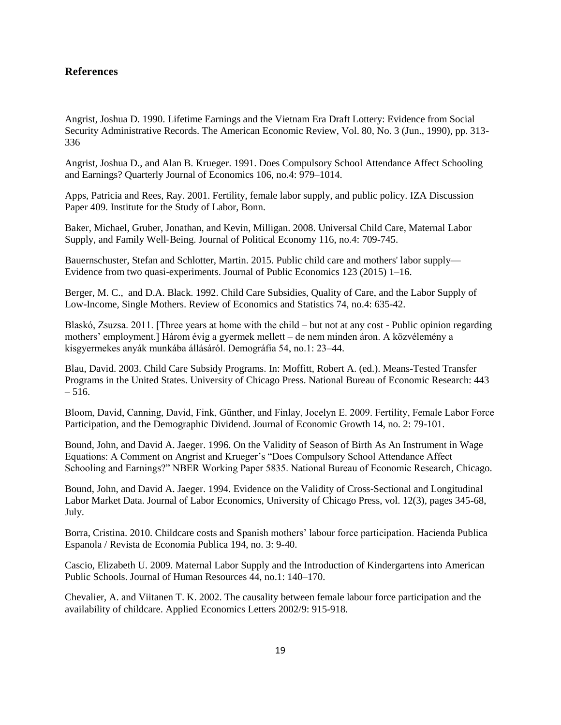#### **References**

Angrist, Joshua D. 1990. Lifetime Earnings and the Vietnam Era Draft Lottery: Evidence from Social Security Administrative Records. The American Economic Review, Vol. 80, No. 3 (Jun., 1990), pp. 313- 336

Angrist, Joshua D., and Alan B. Krueger. 1991. Does Compulsory School Attendance Affect Schooling and Earnings? Quarterly Journal of Economics 106, no.4: 979–1014.

Apps, Patricia and Rees, Ray. 2001. Fertility, female labor supply, and public policy. IZA Discussion Paper 409. Institute for the Study of Labor, Bonn.

Baker, Michael, Gruber, Jonathan, and Kevin, Milligan. 2008. Universal Child Care, Maternal Labor Supply, and Family Well‐Being. Journal of Political Economy 116, no.4: 709-745.

Bauernschuster, Stefan and Schlotter, Martin. 2015. Public child care and mothers' labor supply— Evidence from two quasi-experiments. Journal of Public Economics 123 (2015) 1–16.

Berger, M. C., and D.A. Black. 1992. Child Care Subsidies, Quality of Care, and the Labor Supply of Low-Income, Single Mothers. Review of Economics and Statistics 74, no.4: 635-42.

Blaskó, Zsuzsa. 2011. [Three years at home with the child – but not at any cost - Public opinion regarding mothers' employment.] Három évig a gyermek mellett – de nem minden áron. A közvélemény a kisgyermekes anyák munkába állásáról. Demográfia 54, no.1: 23–44.

Blau, David. 2003. Child Care Subsidy Programs. In: [Moffitt,](http://papers.nber.org/robert_moffitt/) Robert A. (ed.). Means-Tested Transfer Programs in the United States. University of Chicago Press. National Bureau of Economic Research: 443  $-516.$ 

Bloom, David, Canning, David, Fink, Günther, and Finlay, Jocelyn E. 2009. Fertility, Female Labor Force Participation, and the Demographic Dividend. Journal of Economic Growth 14, no. 2: 79-101.

Bound, John, and David A. Jaeger. 1996. On the Validity of Season of Birth As An Instrument in Wage Equations: A Comment on Angrist and Krueger's "Does Compulsory School Attendance Affect Schooling and Earnings?" NBER Working Paper 5835. National Bureau of Economic Research, Chicago.

Bound, John, and David A. Jaeger. 1994. Evidence on the Validity of Cross-Sectional and Longitudinal Labor Market Data. Journal of Labor Economics, University of Chicago Press, vol. 12(3), pages 345-68, July.

Borra, Cristina. 2010. Childcare costs and Spanish mothers' labour force participation. Hacienda Publica Espanola / Revista de Economia Publica 194, no. 3: 9-40.

Cascio, Elizabeth U. 2009. Maternal Labor Supply and the Introduction of Kindergartens into American Public Schools. Journal of Human Resources 44, no.1: 140–170.

Chevalier, A. and Viitanen T. K. 2002. The causality between female labour force participation and the availability of childcare. Applied Economics Letters 2002/9: 915-918.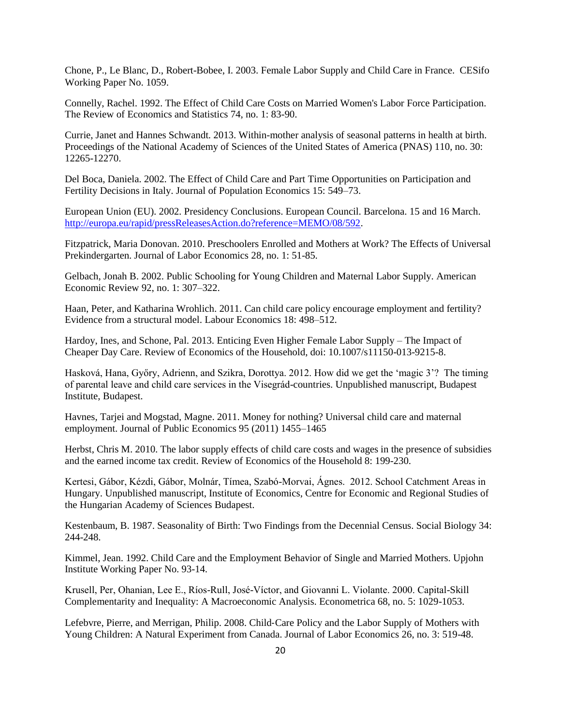Chone, P., Le Blanc, D., Robert-Bobee, I. 2003. Female Labor Supply and Child Care in France. CESifo Working Paper No. 1059.

Connelly, Rachel. 1992. The Effect of Child Care Costs on Married Women's Labor Force Participation. The Review of Economics and Statistics 74, no. 1: 83-90.

Currie, Janet and Hannes Schwandt. 2013. Within-mother analysis of seasonal patterns in health at birth. Proceedings of the National Academy of Sciences of the United States of America (PNAS) 110, no. 30: 12265-12270.

Del Boca, Daniela. 2002. The Effect of Child Care and Part Time Opportunities on Participation and Fertility Decisions in Italy. Journal of Population Economics 15: 549–73.

European Union (EU). 2002. Presidency Conclusions. European Council. Barcelona. 15 and 16 March. [http://europa.eu/rapid/pressReleasesAction.do?reference=MEMO/08/592.](http://europa.eu/rapid/pressReleasesAction.do?reference=MEMO/08/592)

Fitzpatrick, Maria Donovan. 2010. Preschoolers Enrolled and Mothers at Work? The Effects of Universal Prekindergarten. Journal of Labor Economics 28, no. 1: 51-85.

Gelbach, Jonah B. 2002. Public Schooling for Young Children and Maternal Labor Supply. American Economic Review 92, no. 1: 307–322.

Haan, Peter, and Katharina Wrohlich. 2011. Can child care policy encourage employment and fertility? Evidence from a structural model. Labour Economics 18: 498–512.

Hardoy, Ines, and Schone, Pal. 2013. Enticing Even Higher Female Labor Supply – The Impact of Cheaper Day Care. Review of Economics of the Household, doi: 10.1007/s11150-013-9215-8.

Hasková, Hana, Győry, Adrienn, and Szikra, Dorottya. 2012. How did we get the 'magic 3'? The timing of parental leave and child care services in the Visegrád-countries. Unpublished manuscript, Budapest Institute, Budapest.

Havnes, Tarjei and Mogstad, Magne. 2011. Money for nothing? Universal child care and maternal employment. Journal of Public Economics 95 (2011) 1455–1465

Herbst, Chris M. 2010. The labor supply effects of child care costs and wages in the presence of subsidies and the earned income tax credit. Review of Economics of the Household 8: 199-230.

Kertesi, Gábor, Kézdi, Gábor, Molnár, Tímea, Szabó-Morvai, Ágnes. 2012. School Catchment Areas in Hungary. Unpublished manuscript, Institute of Economics, Centre for Economic and Regional Studies of the Hungarian Academy of Sciences Budapest.

Kestenbaum, B. 1987. Seasonality of Birth: Two Findings from the Decennial Census. Social Biology 34: 244-248.

Kimmel, Jean. 1992. Child Care and the Employment Behavior of Single and Married Mothers. Upjohn Institute Working Paper No. 93-14.

Krusell, Per, Ohanian, Lee E., Ríos-Rull, José-Víctor, and Giovanni L. Violante. 2000. Capital-Skill Complementarity and Inequality: A Macroeconomic Analysis. Econometrica 68, no. 5: 1029-1053.

Lefebvre, Pierre, and Merrigan, Philip. 2008. Child‐Care Policy and the Labor Supply of Mothers with Young Children: A Natural Experiment from Canada. Journal of Labor Economics 26, no. 3: 519-48.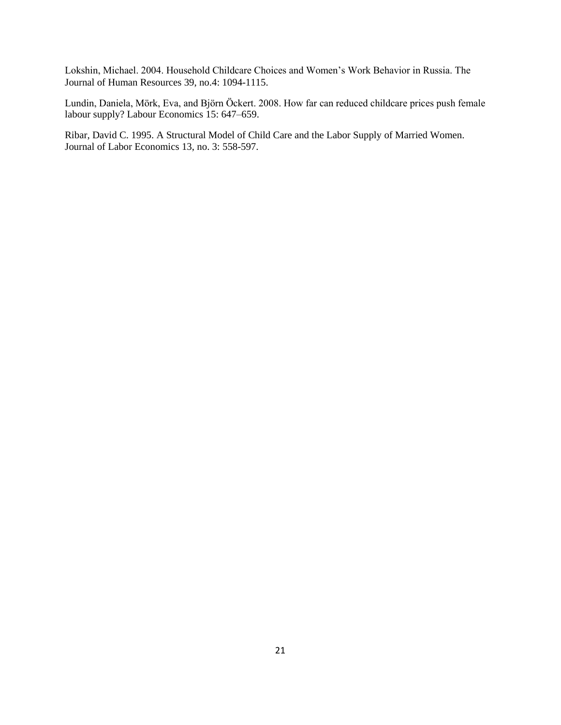Lokshin, Michael. 2004. Household Childcare Choices and Women's Work Behavior in Russia. The Journal of Human Resources 39, no.4: 1094-1115.

Lundin, Daniela, Mörk, Eva, and Björn Öckert. 2008. How far can reduced childcare prices push female labour supply? Labour Economics 15: 647–659.

Ribar, David C. 1995. A Structural Model of Child Care and the Labor Supply of Married Women. Journal of Labor Economics 13, no. 3: 558-597.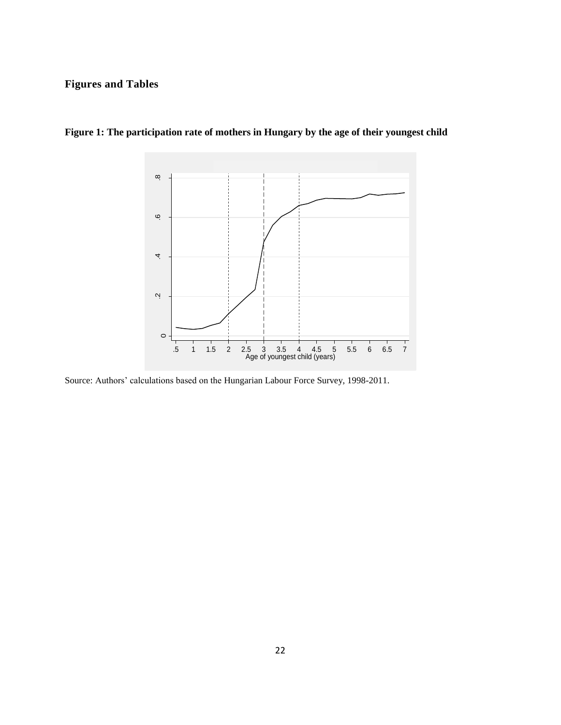## **Figures and Tables**



**Figure 1: The participation rate of mothers in Hungary by the age of their youngest child**

Source: Authors' calculations based on the Hungarian Labour Force Survey, 1998-2011.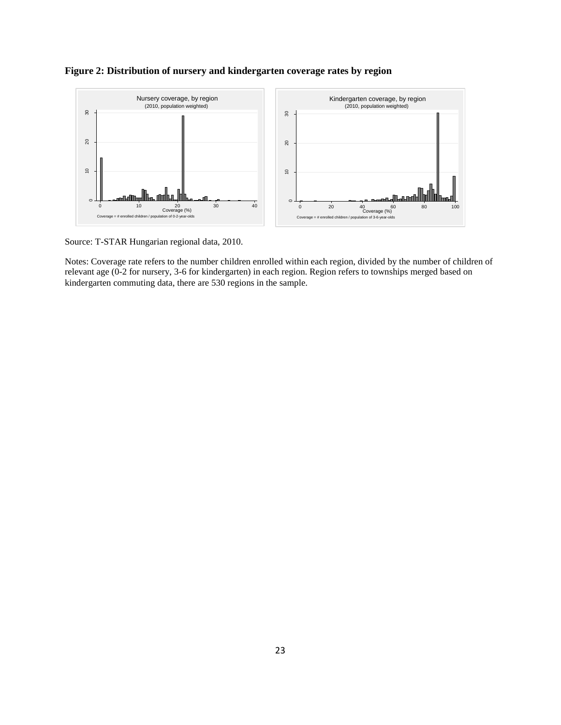

#### **Figure 2: Distribution of nursery and kindergarten coverage rates by region**

Source: T-STAR Hungarian regional data, 2010.

Notes: Coverage rate refers to the number children enrolled within each region, divided by the number of children of relevant age (0-2 for nursery, 3-6 for kindergarten) in each region. Region refers to townships merged based on kindergarten commuting data, there are 530 regions in the sample.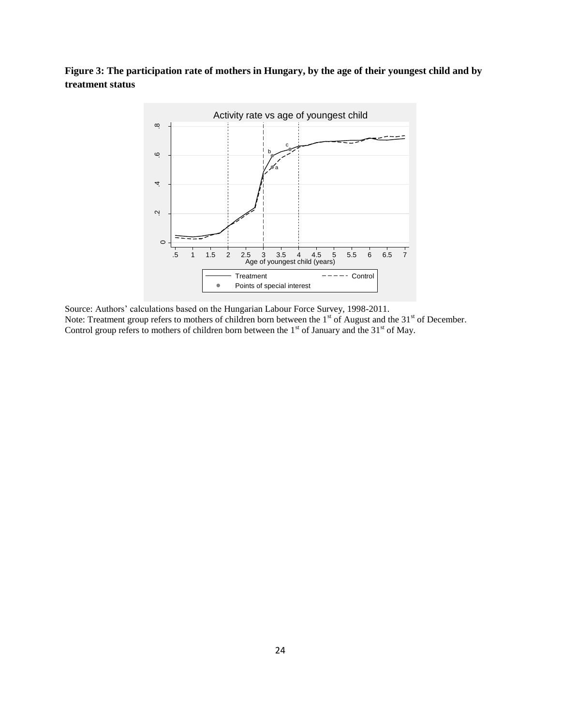### **Figure 3: The participation rate of mothers in Hungary, by the age of their youngest child and by treatment status**



Source: Authors' calculations based on the Hungarian Labour Force Survey, 1998-2011. Note: Treatment group refers to mothers of children born between the 1<sup>st</sup> of August and the 31<sup>st</sup> of December. Control group refers to mothers of children born between the  $1<sup>st</sup>$  of January and the  $31<sup>st</sup>$  of May.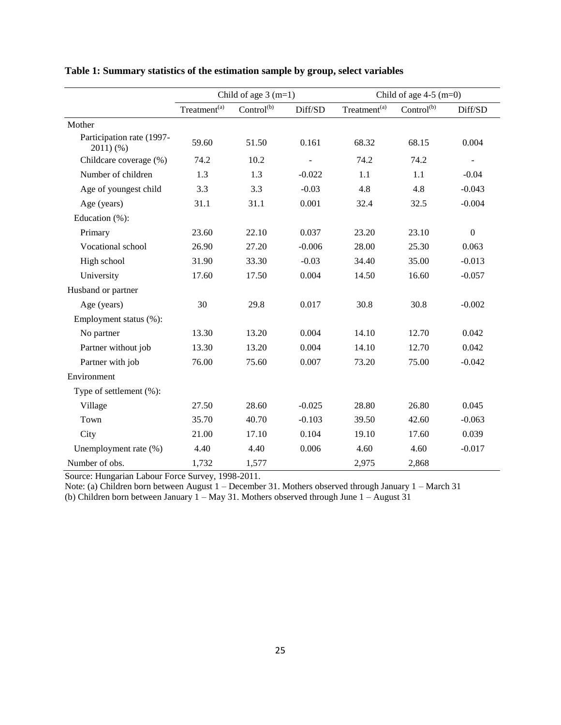|                                      | Child of age $3(m=1)$    |                        |          | Child of age $4-5$ (m=0) |                        |                  |
|--------------------------------------|--------------------------|------------------------|----------|--------------------------|------------------------|------------------|
|                                      | Treatment <sup>(a)</sup> | Control <sup>(b)</sup> | Diff/SD  | Treatment <sup>(a)</sup> | Control <sup>(b)</sup> | Diff/SD          |
| Mother                               |                          |                        |          |                          |                        |                  |
| Participation rate (1997-<br>2011)(% | 59.60                    | 51.50                  | 0.161    | 68.32                    | 68.15                  | 0.004            |
| Childcare coverage (%)               | 74.2                     | 10.2                   |          | 74.2                     | 74.2                   | $\sim$           |
| Number of children                   | 1.3                      | 1.3                    | $-0.022$ | 1.1                      | 1.1                    | $-0.04$          |
| Age of youngest child                | 3.3                      | 3.3                    | $-0.03$  | 4.8                      | 4.8                    | $-0.043$         |
| Age (years)                          | 31.1                     | 31.1                   | 0.001    | 32.4                     | 32.5                   | $-0.004$         |
| Education (%):                       |                          |                        |          |                          |                        |                  |
| Primary                              | 23.60                    | 22.10                  | 0.037    | 23.20                    | 23.10                  | $\boldsymbol{0}$ |
| Vocational school                    | 26.90                    | 27.20                  | $-0.006$ | 28.00                    | 25.30                  | 0.063            |
| High school                          | 31.90                    | 33.30                  | $-0.03$  | 34.40                    | 35.00                  | $-0.013$         |
| University                           | 17.60                    | 17.50                  | 0.004    | 14.50                    | 16.60                  | $-0.057$         |
| Husband or partner                   |                          |                        |          |                          |                        |                  |
| Age (years)                          | 30                       | 29.8                   | 0.017    | 30.8                     | 30.8                   | $-0.002$         |
| Employment status (%):               |                          |                        |          |                          |                        |                  |
| No partner                           | 13.30                    | 13.20                  | 0.004    | 14.10                    | 12.70                  | 0.042            |
| Partner without job                  | 13.30                    | 13.20                  | 0.004    | 14.10                    | 12.70                  | 0.042            |
| Partner with job                     | 76.00                    | 75.60                  | 0.007    | 73.20                    | 75.00                  | $-0.042$         |
| Environment                          |                          |                        |          |                          |                        |                  |
| Type of settlement (%):              |                          |                        |          |                          |                        |                  |
| Village                              | 27.50                    | 28.60                  | $-0.025$ | 28.80                    | 26.80                  | 0.045            |
| Town                                 | 35.70                    | 40.70                  | $-0.103$ | 39.50                    | 42.60                  | $-0.063$         |
| City                                 | 21.00                    | 17.10                  | 0.104    | 19.10                    | 17.60                  | 0.039            |
| Unemployment rate (%)                | 4.40                     | 4.40                   | 0.006    | 4.60                     | 4.60                   | $-0.017$         |
| Number of obs.                       | 1,732                    | 1,577                  |          | 2,975                    | 2,868                  |                  |

**Table 1: Summary statistics of the estimation sample by group, select variables**

Source: Hungarian Labour Force Survey, 1998-2011.

Note: (a) Children born between August 1 – December 31. Mothers observed through January 1 – March 31 (b) Children born between January 1 – May 31. Mothers observed through June 1 – August 31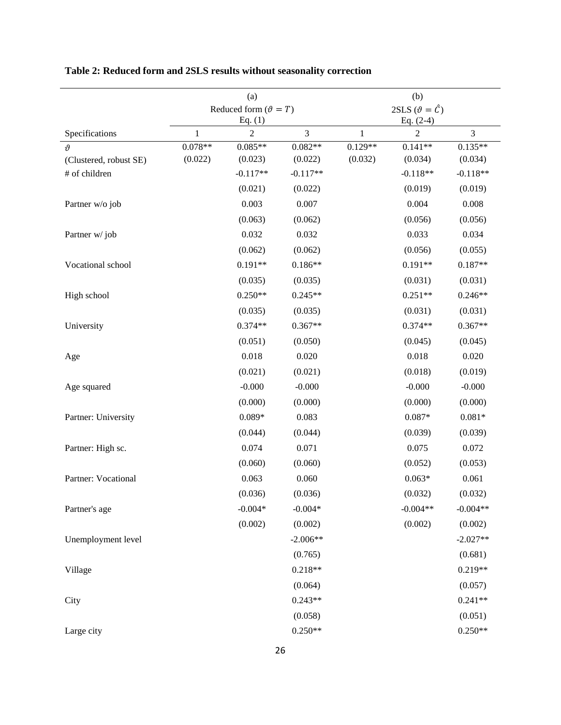|                                       |                | (a)                            |                |                           | (b)                          |                      |
|---------------------------------------|----------------|--------------------------------|----------------|---------------------------|------------------------------|----------------------|
|                                       |                | Reduced form $(\vartheta = T)$ |                |                           | 2SLS $(\vartheta = \hat{C})$ |                      |
|                                       |                | Eq. $(1)$                      |                |                           | Eq. $(2-4)$                  |                      |
| Specifications                        | 1<br>$0.078**$ | 2<br>$0.085**$                 | 3<br>$0.082**$ | $\mathbf{1}$<br>$0.129**$ | 2                            | 3                    |
| $\vartheta$<br>(Clustered, robust SE) | (0.022)        | (0.023)                        | (0.022)        | (0.032)                   | $0.141**$<br>(0.034)         | $0.135**$<br>(0.034) |
| # of children                         |                | $-0.117**$                     | $-0.117**$     |                           | $-0.118**$                   | $-0.118**$           |
|                                       |                | (0.021)                        | (0.022)        |                           | (0.019)                      | (0.019)              |
| Partner w/o job                       |                | 0.003                          | 0.007          |                           | 0.004                        | 0.008                |
|                                       |                | (0.063)                        | (0.062)        |                           | (0.056)                      | (0.056)              |
| Partner w/job                         |                | 0.032                          | 0.032          |                           | 0.033                        | 0.034                |
|                                       |                | (0.062)                        | (0.062)        |                           | (0.056)                      | (0.055)              |
| Vocational school                     |                | $0.191**$                      | $0.186**$      |                           | $0.191**$                    | $0.187**$            |
|                                       |                | (0.035)                        | (0.035)        |                           | (0.031)                      | (0.031)              |
| High school                           |                | $0.250**$                      | $0.245**$      |                           | $0.251**$                    | $0.246**$            |
|                                       |                | (0.035)                        | (0.035)        |                           | (0.031)                      | (0.031)              |
| University                            |                | $0.374**$                      | $0.367**$      |                           | $0.374**$                    | $0.367**$            |
|                                       |                | (0.051)                        | (0.050)        |                           | (0.045)                      | (0.045)              |
| Age                                   |                | 0.018                          | 0.020          |                           | 0.018                        | 0.020                |
|                                       |                | (0.021)                        | (0.021)        |                           | (0.018)                      | (0.019)              |
| Age squared                           |                | $-0.000$                       | $-0.000$       |                           | $-0.000$                     | $-0.000$             |
|                                       |                | (0.000)                        | (0.000)        |                           | (0.000)                      | (0.000)              |
| Partner: University                   |                | $0.089*$                       | 0.083          |                           | $0.087*$                     | $0.081*$             |
|                                       |                | (0.044)                        | (0.044)        |                           | (0.039)                      | (0.039)              |
| Partner: High sc.                     |                | 0.074                          | 0.071          |                           | 0.075                        | 0.072                |
|                                       |                | (0.060)                        | (0.060)        |                           | (0.052)                      | (0.053)              |
| Partner: Vocational                   |                | 0.063                          | 0.060          |                           | $0.063*$                     | 0.061                |
|                                       |                | (0.036)                        | (0.036)        |                           | (0.032)                      | (0.032)              |
| Partner's age                         |                | $-0.004*$                      | $-0.004*$      |                           | $-0.004**$                   | $-0.004**$           |
|                                       |                | (0.002)                        | (0.002)        |                           | (0.002)                      | (0.002)              |
| Unemployment level                    |                |                                | $-2.006**$     |                           |                              | $-2.027**$           |
|                                       |                |                                | (0.765)        |                           |                              | (0.681)              |
| Village                               |                |                                | $0.218**$      |                           |                              | $0.219**$            |
|                                       |                |                                | (0.064)        |                           |                              | (0.057)              |
| City                                  |                |                                | $0.243**$      |                           |                              | $0.241**$            |
|                                       |                |                                | (0.058)        |                           |                              | (0.051)              |
| Large city                            |                |                                | $0.250**$      |                           |                              | $0.250**$            |

# **Table 2: Reduced form and 2SLS results without seasonality correction**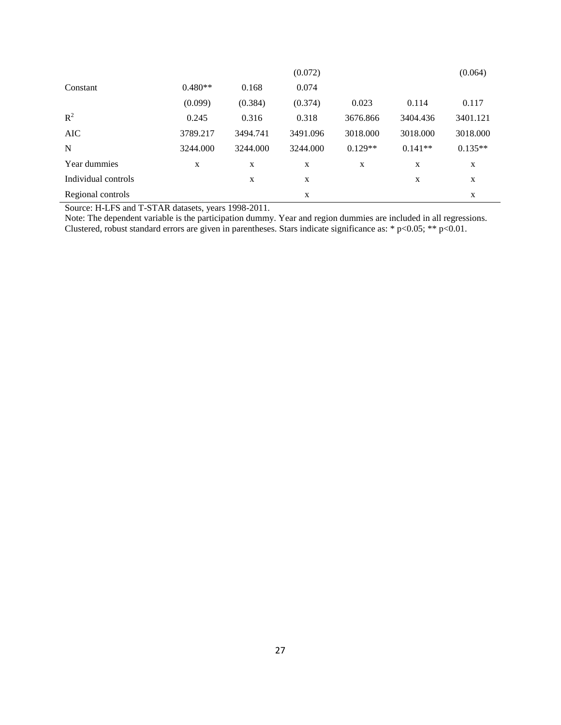|                     |           |          | (0.072)  |           |           | (0.064)   |
|---------------------|-----------|----------|----------|-----------|-----------|-----------|
| Constant            | $0.480**$ | 0.168    | 0.074    |           |           |           |
|                     | (0.099)   | (0.384)  | (0.374)  | 0.023     | 0.114     | 0.117     |
| $R^2$               | 0.245     | 0.316    | 0.318    | 3676.866  | 3404.436  | 3401.121  |
| <b>AIC</b>          | 3789.217  | 3494.741 | 3491.096 | 3018.000  | 3018.000  | 3018.000  |
| N                   | 3244.000  | 3244.000 | 3244.000 | $0.129**$ | $0.141**$ | $0.135**$ |
| Year dummies        | X         | X        | X        | X         | X         | X         |
| Individual controls |           | X        | X        |           | X         | X         |
| Regional controls   |           |          | X        |           |           | X         |

Source: H-LFS and T-STAR datasets, years 1998-2011.

Note: The dependent variable is the participation dummy. Year and region dummies are included in all regressions. Clustered, robust standard errors are given in parentheses. Stars indicate significance as: \*  $p<0.05$ ; \*\*  $p<0.01$ .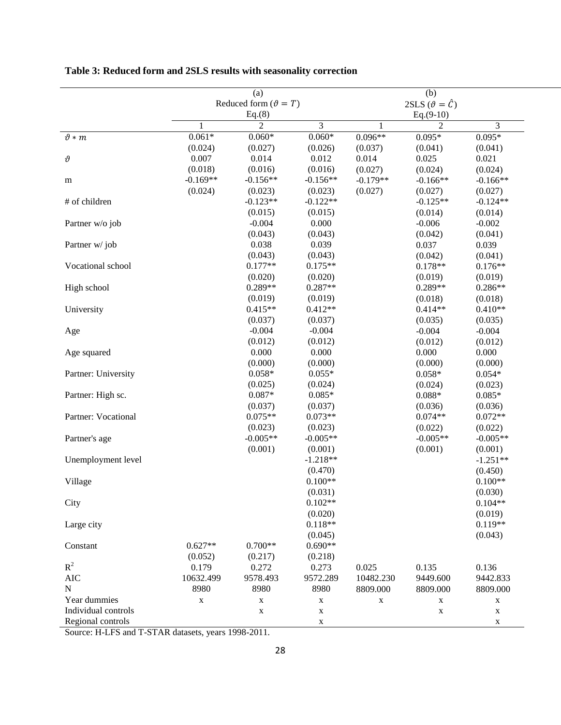|                     |                                | (a)            |                |                              | (b)            |             |  |
|---------------------|--------------------------------|----------------|----------------|------------------------------|----------------|-------------|--|
|                     | Reduced form $(\vartheta = T)$ |                |                | 2SLS $(\vartheta = \hat{C})$ |                |             |  |
|                     | Eq.(8)                         |                |                | $Eq.(9-10)$                  |                |             |  |
|                     | 1                              | $\overline{c}$ | $\overline{3}$ | $\mathbf{1}$                 | $\overline{2}$ | 3           |  |
| $\vartheta*m$       | $0.061*$                       | $0.060*$       | $0.060*$       | $0.096**$                    | $0.095*$       | $0.095*$    |  |
|                     | (0.024)                        | (0.027)        | (0.026)        | (0.037)                      | (0.041)        | (0.041)     |  |
| $\vartheta$         | 0.007                          | 0.014          | 0.012          | 0.014                        | 0.025          | 0.021       |  |
|                     | (0.018)                        | (0.016)        | (0.016)        | (0.027)                      | (0.024)        | (0.024)     |  |
| m                   | $-0.169**$                     | $-0.156**$     | $-0.156**$     | $-0.179**$                   | $-0.166**$     | $-0.166**$  |  |
|                     | (0.024)                        | (0.023)        | (0.023)        | (0.027)                      | (0.027)        | (0.027)     |  |
| # of children       |                                | $-0.123**$     | $-0.122**$     |                              | $-0.125**$     | $-0.124**$  |  |
|                     |                                | (0.015)        | (0.015)        |                              | (0.014)        | (0.014)     |  |
| Partner w/o job     |                                | $-0.004$       | 0.000          |                              | $-0.006$       | $-0.002$    |  |
|                     |                                | (0.043)        | (0.043)        |                              | (0.042)        | (0.041)     |  |
| Partner w/job       |                                | 0.038          | 0.039          |                              | 0.037          | 0.039       |  |
|                     |                                | (0.043)        | (0.043)        |                              | (0.042)        | (0.041)     |  |
| Vocational school   |                                | $0.177**$      | $0.175**$      |                              | $0.178**$      | $0.176**$   |  |
|                     |                                | (0.020)        | (0.020)        |                              | (0.019)        | (0.019)     |  |
| High school         |                                | $0.289**$      | $0.287**$      |                              | $0.289**$      | $0.286**$   |  |
|                     |                                | (0.019)        | (0.019)        |                              | (0.018)        | (0.018)     |  |
| University          |                                | $0.415**$      | $0.412**$      |                              | $0.414**$      | $0.410**$   |  |
|                     |                                | (0.037)        | (0.037)        |                              | (0.035)        | (0.035)     |  |
| Age                 |                                | $-0.004$       | $-0.004$       |                              | $-0.004$       | $-0.004$    |  |
|                     |                                | (0.012)        | (0.012)        |                              | (0.012)        | (0.012)     |  |
| Age squared         |                                | 0.000          | 0.000          |                              | 0.000          | 0.000       |  |
|                     |                                | (0.000)        | (0.000)        |                              | (0.000)        | (0.000)     |  |
| Partner: University |                                | $0.058*$       | $0.055*$       |                              | $0.058*$       | $0.054*$    |  |
|                     |                                | (0.025)        | (0.024)        |                              | (0.024)        | (0.023)     |  |
| Partner: High sc.   |                                | $0.087*$       | $0.085*$       |                              | $0.088*$       | $0.085*$    |  |
|                     |                                | (0.037)        | (0.037)        |                              | (0.036)        | (0.036)     |  |
| Partner: Vocational |                                | $0.075**$      | $0.073**$      |                              | $0.074**$      | $0.072**$   |  |
|                     |                                | (0.023)        | (0.023)        |                              | (0.022)        | (0.022)     |  |
| Partner's age       |                                | $-0.005**$     | $-0.005**$     |                              | $-0.005**$     | $-0.005**$  |  |
|                     |                                | (0.001)        | (0.001)        |                              | (0.001)        | (0.001)     |  |
| Unemployment level  |                                |                | $-1.218**$     |                              |                | $-1.251**$  |  |
|                     |                                |                | (0.470)        |                              |                | (0.450)     |  |
| Village             |                                |                | $0.100**$      |                              |                | $0.100**$   |  |
|                     |                                |                | (0.031)        |                              |                | (0.030)     |  |
| City                |                                |                | $0.102**$      |                              |                | $0.104**$   |  |
|                     |                                |                | (0.020)        |                              |                | (0.019)     |  |
| Large city          |                                |                | $0.118**$      |                              |                | $0.119**$   |  |
|                     |                                |                | (0.045)        |                              |                | (0.043)     |  |
| Constant            | $0.627**$                      | $0.700**$      | $0.690**$      |                              |                |             |  |
|                     | (0.052)                        | (0.217)        | (0.218)        |                              |                |             |  |
| $R^2$               | 0.179                          | 0.272          | 0.273          | 0.025                        | 0.135          | 0.136       |  |
| <b>AIC</b>          | 10632.499                      | 9578.493       | 9572.289       | 10482.230                    | 9449.600       | 9442.833    |  |
| ${\bf N}$           | 8980                           | 8980           | 8980           | 8809.000                     | 8809.000       | 8809.000    |  |
| Year dummies        | $\mathbf X$                    | X              | $\mathbf X$    | $\mathbf X$                  | X              | $\mathbf X$ |  |
| Individual controls |                                | X              | $\mathbf X$    |                              | X              | X           |  |
| Regional controls   |                                |                | $\mathbf X$    |                              |                | $\mathbf X$ |  |

## **Table 3: Reduced form and 2SLS results with seasonality correction**

Source: H-LFS and T-STAR datasets, years 1998-2011.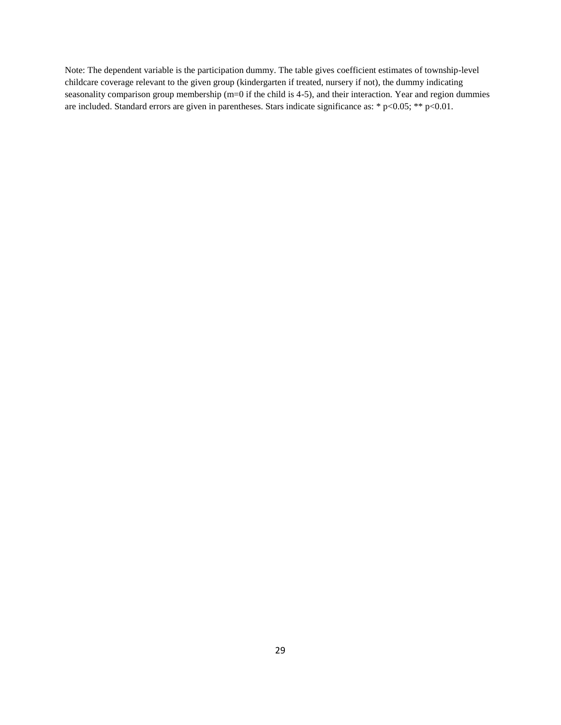Note: The dependent variable is the participation dummy. The table gives coefficient estimates of township-level childcare coverage relevant to the given group (kindergarten if treated, nursery if not), the dummy indicating seasonality comparison group membership (m=0 if the child is 4-5), and their interaction. Year and region dummies are included. Standard errors are given in parentheses. Stars indicate significance as: \* p<0.05; \*\* p<0.01.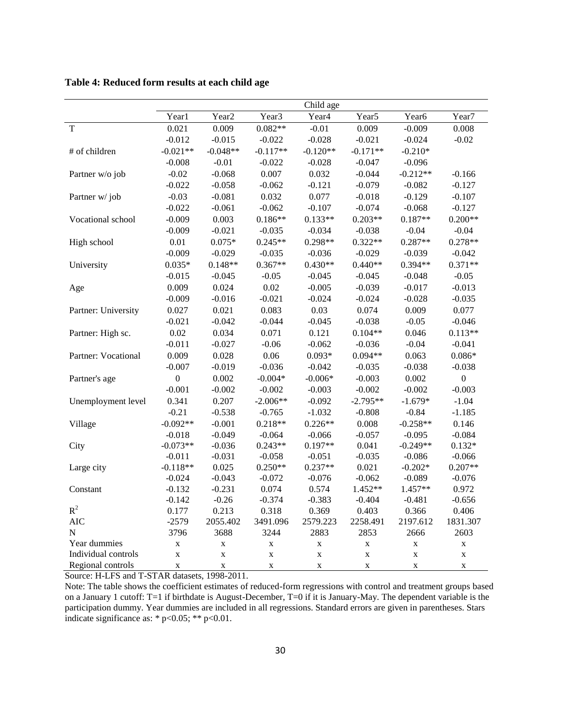**Table 4: Reduced form results at each child age**

|                     |                  |                   |                   | Child age         |                   |                   |                  |
|---------------------|------------------|-------------------|-------------------|-------------------|-------------------|-------------------|------------------|
|                     | Year1            | Year <sub>2</sub> | Year <sub>3</sub> | Year <sub>4</sub> | Year <sub>5</sub> | Year <sub>6</sub> | Year7            |
| T                   | 0.021            | 0.009             | $0.082**$         | $-0.01$           | 0.009             | $-0.009$          | 0.008            |
|                     | $-0.012$         | $-0.015$          | $-0.022$          | $-0.028$          | $-0.021$          | $-0.024$          | $-0.02$          |
| # of children       | $-0.021**$       | $-0.048**$        | $-0.117**$        | $-0.120**$        | $-0.171**$        | $-0.210*$         |                  |
|                     | $-0.008$         | $-0.01$           | $-0.022$          | $-0.028$          | $-0.047$          | $-0.096$          |                  |
| Partner w/o job     | $-0.02$          | $-0.068$          | 0.007             | 0.032             | $-0.044$          | $-0.212**$        | $-0.166$         |
|                     | $-0.022$         | $-0.058$          | $-0.062$          | $-0.121$          | $-0.079$          | $-0.082$          | $-0.127$         |
| Partner w/job       | $-0.03$          | $-0.081$          | 0.032             | 0.077             | $-0.018$          | $-0.129$          | $-0.107$         |
|                     | $-0.022$         | $-0.061$          | $-0.062$          | $-0.107$          | $-0.074$          | $-0.068$          | $-0.127$         |
| Vocational school   | $-0.009$         | 0.003             | $0.186**$         | $0.133**$         | $0.203**$         | $0.187**$         | $0.200**$        |
|                     | $-0.009$         | $-0.021$          | $-0.035$          | $-0.034$          | $-0.038$          | $-0.04$           | $-0.04$          |
| High school         | 0.01             | $0.075*$          | $0.245**$         | $0.298**$         | $0.322**$         | $0.287**$         | $0.278**$        |
|                     | $-0.009$         | $-0.029$          | $-0.035$          | $-0.036$          | $-0.029$          | $-0.039$          | $-0.042$         |
| University          | $0.035*$         | $0.148**$         | $0.367**$         | $0.430**$         | $0.440**$         | $0.394**$         | $0.371**$        |
|                     | $-0.015$         | $-0.045$          | $-0.05$           | $-0.045$          | $-0.045$          | $-0.048$          | $-0.05$          |
| Age                 | 0.009            | 0.024             | 0.02              | $-0.005$          | $-0.039$          | $-0.017$          | $-0.013$         |
|                     | $-0.009$         | $-0.016$          | $-0.021$          | $-0.024$          | $-0.024$          | $-0.028$          | $-0.035$         |
| Partner: University | 0.027            | 0.021             | 0.083             | 0.03              | 0.074             | 0.009             | 0.077            |
|                     | $-0.021$         | $-0.042$          | $-0.044$          | $-0.045$          | $-0.038$          | $-0.05$           | $-0.046$         |
| Partner: High sc.   | 0.02             | 0.034             | 0.071             | 0.121             | $0.104**$         | 0.046             | $0.113**$        |
|                     | $-0.011$         | $-0.027$          | $-0.06$           | $-0.062$          | $-0.036$          | $-0.04$           | $-0.041$         |
| Partner: Vocational | 0.009            | 0.028             | 0.06              | $0.093*$          | $0.094**$         | 0.063             | $0.086*$         |
|                     | $-0.007$         | $-0.019$          | $-0.036$          | $-0.042$          | $-0.035$          | $-0.038$          | $-0.038$         |
| Partner's age       | $\boldsymbol{0}$ | 0.002             | $-0.004*$         | $-0.006*$         | $-0.003$          | 0.002             | $\boldsymbol{0}$ |
|                     | $-0.001$         | $-0.002$          | $-0.002$          | $-0.003$          | $-0.002$          | $-0.002$          | $-0.003$         |
| Unemployment level  | 0.341            | 0.207             | $-2.006**$        | $-0.092$          | $-2.795**$        | $-1.679*$         | $-1.04$          |
|                     | $-0.21$          | $-0.538$          | $-0.765$          | $-1.032$          | $-0.808$          | $-0.84$           | $-1.185$         |
| Village             | $-0.092**$       | $-0.001$          | $0.218**$         | $0.226**$         | 0.008             | $-0.258**$        | 0.146            |
|                     | $-0.018$         | $-0.049$          | $-0.064$          | $-0.066$          | $-0.057$          | $-0.095$          | $-0.084$         |
| City                | $-0.073**$       | $-0.036$          | $0.243**$         | $0.197**$         | 0.041             | $-0.249**$        | $0.132*$         |
|                     | $-0.011$         | $-0.031$          | $-0.058$          | $-0.051$          | $-0.035$          | $-0.086$          | $-0.066$         |
| Large city          | $-0.118**$       | 0.025             | $0.250**$         | $0.237**$         | 0.021             | $-0.202*$         | $0.207**$        |
|                     | $-0.024$         | $-0.043$          | $-0.072$          | $-0.076$          | $-0.062$          | $-0.089$          | $-0.076$         |
| Constant            | $-0.132$         | $-0.231$          | 0.074             | 0.574             | 1.452**           | 1.457**           | 0.972            |
|                     | $-0.142$         | $-0.26$           | $-0.374$          | $-0.383$          | $-0.404$          | $-0.481$          | $-0.656$         |
| ${\bf R}^2$         | 0.177            | 0.213             | 0.318             | 0.369             | 0.403             | 0.366             | 0.406            |
| <b>AIC</b>          | $-2579$          | 2055.402          | 3491.096          | 2579.223          | 2258.491          | 2197.612          | 1831.307         |
| N                   | 3796             | 3688              | 3244              | 2883              | 2853              | 2666              | 2603             |
| Year dummies        | $\mathbf X$      | $\mathbf X$       | $\mathbf X$       | $\bf{X}$          | $\mathbf X$       | $\mathbf X$       | $\mathbf X$      |
| Individual controls | $\mathbf X$      | $\mathbf X$       | $\mathbf X$       | $\bar{X}$         | $\mathbf X$       | $\mathbf X$       | $\mathbf X$      |
| Regional controls   | $\mathbf X$      | X                 | $\mathbf X$       | $\mathbf X$       | $\mathbf X$       | X                 | $\mathbf X$      |

Source: H-LFS and T-STAR datasets, 1998-2011.

Note: The table shows the coefficient estimates of reduced-form regressions with control and treatment groups based on a January 1 cutoff: T=1 if birthdate is August-December, T=0 if it is January-May. The dependent variable is the participation dummy. Year dummies are included in all regressions. Standard errors are given in parentheses. Stars indicate significance as: \*  $p<0.05$ ; \*\*  $p<0.01$ .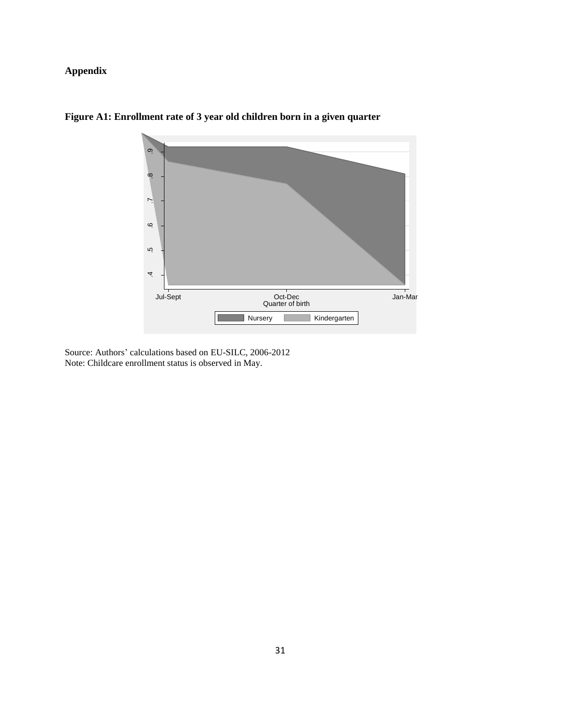### **Appendix**



**Figure A1: Enrollment rate of 3 year old children born in a given quarter**

Source: Authors' calculations based on EU-SILC, 2006-2012 Note: Childcare enrollment status is observed in May.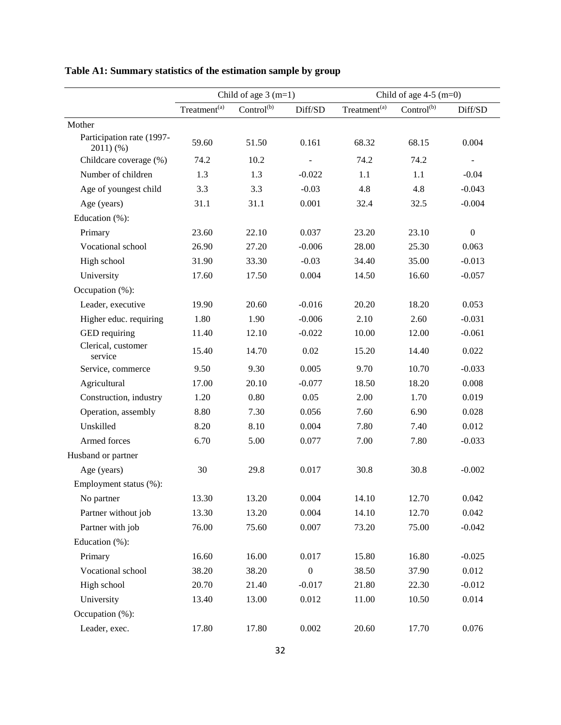|                                      | Child of age $3(m=1)$    |                        | Child of age $4-5$ (m=0) |                          |                        |                          |
|--------------------------------------|--------------------------|------------------------|--------------------------|--------------------------|------------------------|--------------------------|
|                                      | Treatment <sup>(a)</sup> | Control <sup>(b)</sup> | Diff/SD                  | Treatment <sup>(a)</sup> | Control <sup>(b)</sup> | Diff/SD                  |
| Mother                               |                          |                        |                          |                          |                        |                          |
| Participation rate (1997-<br>2011)(% | 59.60                    | 51.50                  | 0.161                    | 68.32                    | 68.15                  | 0.004                    |
| Childcare coverage (%)               | 74.2                     | 10.2                   |                          | 74.2                     | 74.2                   | $\overline{\phantom{a}}$ |
| Number of children                   | 1.3                      | 1.3                    | $-0.022$                 | 1.1                      | 1.1                    | $-0.04$                  |
| Age of youngest child                | 3.3                      | 3.3                    | $-0.03$                  | 4.8                      | 4.8                    | $-0.043$                 |
| Age (years)                          | 31.1                     | 31.1                   | 0.001                    | 32.4                     | 32.5                   | $-0.004$                 |
| Education (%):                       |                          |                        |                          |                          |                        |                          |
| Primary                              | 23.60                    | 22.10                  | 0.037                    | 23.20                    | 23.10                  | $\boldsymbol{0}$         |
| Vocational school                    | 26.90                    | 27.20                  | $-0.006$                 | 28.00                    | 25.30                  | 0.063                    |
| High school                          | 31.90                    | 33.30                  | $-0.03$                  | 34.40                    | 35.00                  | $-0.013$                 |
| University                           | 17.60                    | 17.50                  | 0.004                    | 14.50                    | 16.60                  | $-0.057$                 |
| Occupation (%):                      |                          |                        |                          |                          |                        |                          |
| Leader, executive                    | 19.90                    | 20.60                  | $-0.016$                 | 20.20                    | 18.20                  | 0.053                    |
| Higher educ. requiring               | 1.80                     | 1.90                   | $-0.006$                 | 2.10                     | 2.60                   | $-0.031$                 |
| GED requiring                        | 11.40                    | 12.10                  | $-0.022$                 | 10.00                    | 12.00                  | $-0.061$                 |
| Clerical, customer<br>service        | 15.40                    | 14.70                  | 0.02                     | 15.20                    | 14.40                  | 0.022                    |
| Service, commerce                    | 9.50                     | 9.30                   | 0.005                    | 9.70                     | 10.70                  | $-0.033$                 |
| Agricultural                         | 17.00                    | 20.10                  | $-0.077$                 | 18.50                    | 18.20                  | 0.008                    |
| Construction, industry               | 1.20                     | 0.80                   | 0.05                     | 2.00                     | 1.70                   | 0.019                    |
| Operation, assembly                  | 8.80                     | 7.30                   | 0.056                    | 7.60                     | 6.90                   | 0.028                    |
| Unskilled                            | 8.20                     | 8.10                   | 0.004                    | 7.80                     | 7.40                   | 0.012                    |
| Armed forces                         | 6.70                     | 5.00                   | 0.077                    | 7.00                     | 7.80                   | $-0.033$                 |
| Husband or partner                   |                          |                        |                          |                          |                        |                          |
| Age (years)                          | 30                       | 29.8                   | 0.017                    | 30.8                     | 30.8                   | $-0.002$                 |
| Employment status (%):               |                          |                        |                          |                          |                        |                          |
| No partner                           | 13.30                    | 13.20                  | 0.004                    | 14.10                    | 12.70                  | 0.042                    |
| Partner without job                  | 13.30                    | 13.20                  | 0.004                    | 14.10                    | 12.70                  | 0.042                    |
| Partner with job                     | 76.00                    | 75.60                  | 0.007                    | 73.20                    | 75.00                  | $-0.042$                 |
| Education (%):                       |                          |                        |                          |                          |                        |                          |
| Primary                              | 16.60                    | 16.00                  | 0.017                    | 15.80                    | 16.80                  | $-0.025$                 |
| Vocational school                    | 38.20                    | 38.20                  | $\boldsymbol{0}$         | 38.50                    | 37.90                  | 0.012                    |
| High school                          | 20.70                    | 21.40                  | $-0.017$                 | 21.80                    | 22.30                  | $-0.012$                 |
| University                           | 13.40                    | 13.00                  | 0.012                    | 11.00                    | 10.50                  | 0.014                    |
| Occupation (%):                      |                          |                        |                          |                          |                        |                          |
| Leader, exec.                        | 17.80                    | 17.80                  | 0.002                    | 20.60                    | 17.70                  | 0.076                    |

## **Table A1: Summary statistics of the estimation sample by group**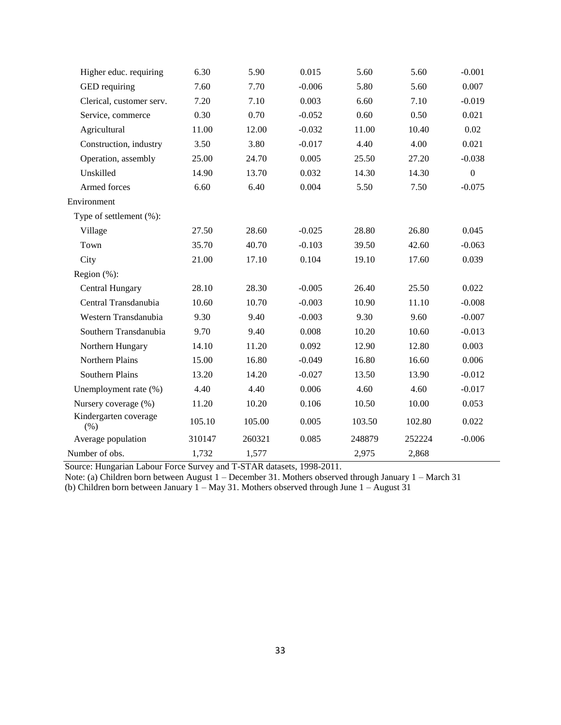| Higher educ. requiring       | 6.30   | 5.90   | 0.015    | 5.60   | 5.60   | $-0.001$         |
|------------------------------|--------|--------|----------|--------|--------|------------------|
| GED requiring                | 7.60   | 7.70   | $-0.006$ | 5.80   | 5.60   | 0.007            |
| Clerical, customer serv.     | 7.20   | 7.10   | 0.003    | 6.60   | 7.10   | $-0.019$         |
| Service, commerce            | 0.30   | 0.70   | $-0.052$ | 0.60   | 0.50   | 0.021            |
| Agricultural                 | 11.00  | 12.00  | $-0.032$ | 11.00  | 10.40  | 0.02             |
| Construction, industry       | 3.50   | 3.80   | $-0.017$ | 4.40   | 4.00   | 0.021            |
| Operation, assembly          | 25.00  | 24.70  | 0.005    | 25.50  | 27.20  | $-0.038$         |
| Unskilled                    | 14.90  | 13.70  | 0.032    | 14.30  | 14.30  | $\boldsymbol{0}$ |
| Armed forces                 | 6.60   | 6.40   | 0.004    | 5.50   | 7.50   | $-0.075$         |
| Environment                  |        |        |          |        |        |                  |
| Type of settlement (%):      |        |        |          |        |        |                  |
| Village                      | 27.50  | 28.60  | $-0.025$ | 28.80  | 26.80  | 0.045            |
| Town                         | 35.70  | 40.70  | $-0.103$ | 39.50  | 42.60  | $-0.063$         |
| City                         | 21.00  | 17.10  | 0.104    | 19.10  | 17.60  | 0.039            |
| Region $(\%)$ :              |        |        |          |        |        |                  |
| <b>Central Hungary</b>       | 28.10  | 28.30  | $-0.005$ | 26.40  | 25.50  | 0.022            |
| Central Transdanubia         | 10.60  | 10.70  | $-0.003$ | 10.90  | 11.10  | $-0.008$         |
| Western Transdanubia         | 9.30   | 9.40   | $-0.003$ | 9.30   | 9.60   | $-0.007$         |
| Southern Transdanubia        | 9.70   | 9.40   | 0.008    | 10.20  | 10.60  | $-0.013$         |
| Northern Hungary             | 14.10  | 11.20  | 0.092    | 12.90  | 12.80  | 0.003            |
| Northern Plains              | 15.00  | 16.80  | $-0.049$ | 16.80  | 16.60  | 0.006            |
| Southern Plains              | 13.20  | 14.20  | $-0.027$ | 13.50  | 13.90  | $-0.012$         |
| Unemployment rate (%)        | 4.40   | 4.40   | 0.006    | 4.60   | 4.60   | $-0.017$         |
| Nursery coverage (%)         | 11.20  | 10.20  | 0.106    | 10.50  | 10.00  | 0.053            |
| Kindergarten coverage<br>(%) | 105.10 | 105.00 | 0.005    | 103.50 | 102.80 | 0.022            |
| Average population           | 310147 | 260321 | 0.085    | 248879 | 252224 | $-0.006$         |
| Number of obs.               | 1,732  | 1,577  |          | 2,975  | 2,868  |                  |

Source: Hungarian Labour Force Survey and T-STAR datasets, 1998-2011.

Note: (a) Children born between August 1 – December 31. Mothers observed through January 1 – March 31

(b) Children born between January 1 – May 31. Mothers observed through June  $1 -$ August 31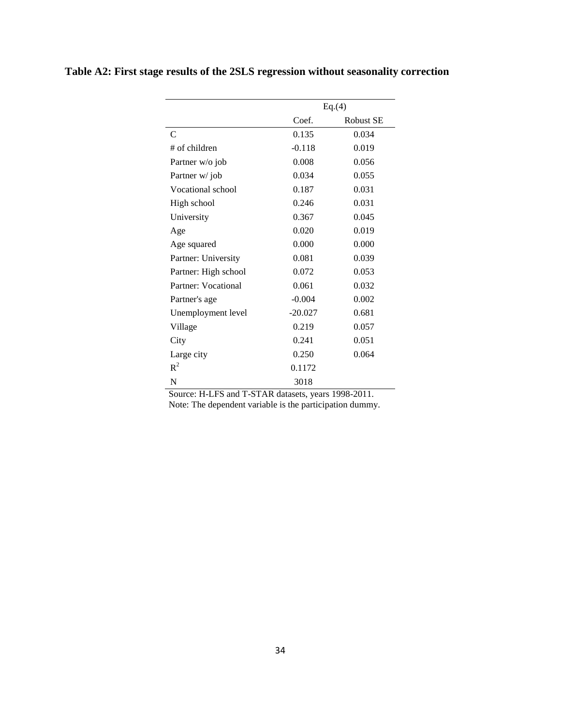| Table A2: First stage results of the 2SLS regression without seasonality correction |  |  |  |
|-------------------------------------------------------------------------------------|--|--|--|
|                                                                                     |  |  |  |

|                      |           | Eq.(4)           |
|----------------------|-----------|------------------|
|                      | Coef.     | <b>Robust SE</b> |
| C                    | 0.135     | 0.034            |
| $#$ of children      | $-0.118$  | 0.019            |
| Partner w/o job      | 0.008     | 0.056            |
| Partner w/job        | 0.034     | 0.055            |
| Vocational school    | 0.187     | 0.031            |
| High school          | 0.246     | 0.031            |
| University           | 0.367     | 0.045            |
| Age                  | 0.020     | 0.019            |
| Age squared          | 0.000     | 0.000            |
| Partner: University  | 0.081     | 0.039            |
| Partner: High school | 0.072     | 0.053            |
| Partner: Vocational  | 0.061     | 0.032            |
| Partner's age        | $-0.004$  | 0.002            |
| Unemployment level   | $-20.027$ | 0.681            |
| Village              | 0.219     | 0.057            |
| City                 | 0.241     | 0.051            |
| Large city           | 0.250     | 0.064            |
| $R^2$                | 0.1172    |                  |
| N                    | 3018      |                  |

Source: H-LFS and T-STAR datasets, years 1998-2011. Note: The dependent variable is the participation dummy.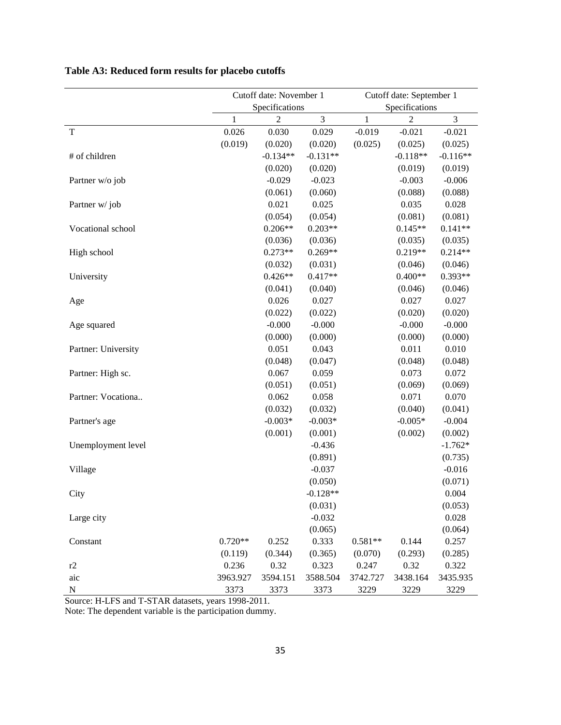| Cutoff date: November 1<br>Cutoff date: September 1<br>Specifications<br>Specifications<br>$\mathfrak{Z}$<br>$\ensuremath{\mathfrak{Z}}$<br>$\overline{2}$<br>$\,1$<br>$\overline{2}$<br>1<br>0.026<br>T<br>0.030<br>$-0.019$<br>$-0.021$<br>0.029<br>$-0.021$<br>(0.019)<br>(0.020)<br>(0.020)<br>(0.025)<br>(0.025)<br>(0.025)<br>$-0.134**$<br>$-0.131**$<br>$-0.118**$<br># of children<br>$-0.116**$<br>(0.020)<br>(0.020)<br>(0.019)<br>(0.019)<br>$-0.029$<br>$-0.023$<br>$-0.003$<br>$-0.006$<br>Partner w/o job<br>(0.061)<br>(0.060)<br>(0.088)<br>(0.088)<br>0.021<br>0.025<br>0.035<br>0.028<br>Partner w/job<br>(0.054)<br>(0.054)<br>(0.081)<br>(0.081)<br>$0.206**$<br>$0.203**$<br>$0.141**$<br>Vocational school<br>$0.145**$<br>(0.036)<br>(0.036)<br>(0.035)<br>(0.035)<br>$0.273**$<br>$0.269**$<br>$0.219**$<br>$0.214**$<br>High school<br>(0.032)<br>(0.031)<br>(0.046)<br>(0.046)<br>$0.426**$<br>$0.417**$<br>$0.400**$<br>$0.393**$<br>University<br>(0.041)<br>(0.040)<br>(0.046)<br>(0.046)<br>0.027<br>0.027<br>0.027<br>0.026<br>Age<br>(0.022)<br>(0.022)<br>(0.020)<br>(0.020)<br>$-0.000$<br>$-0.000$<br>$-0.000$<br>$-0.000$<br>Age squared<br>(0.000)<br>(0.000)<br>(0.000)<br>(0.000)<br>0.051<br>0.043<br>0.011<br>0.010<br>Partner: University<br>(0.048)<br>(0.047)<br>(0.048)<br>(0.048)<br>0.067<br>0.059<br>0.073<br>0.072<br>Partner: High sc.<br>(0.051)<br>(0.069)<br>(0.069)<br>(0.051)<br>0.062<br>0.071<br>0.070<br>0.058<br>Partner: Vocationa<br>(0.032)<br>(0.032)<br>(0.040)<br>(0.041)<br>$-0.003*$<br>$-0.005*$<br>$-0.003*$<br>$-0.004$<br>Partner's age<br>(0.001)<br>(0.002)<br>(0.002)<br>(0.001)<br>$-0.436$<br>$-1.762*$<br>Unemployment level<br>(0.735)<br>(0.891)<br>$-0.037$<br>$-0.016$<br>Village<br>(0.050)<br>(0.071)<br>$-0.128**$<br>0.004<br>City<br>(0.031)<br>(0.053)<br>$-0.032$<br>0.028<br>Large city<br>(0.065)<br>(0.064)<br>0.252<br>0.333<br>0.144<br>$0.720**$<br>$0.581**$<br>0.257<br>Constant<br>(0.365)<br>(0.293)<br>(0.119)<br>(0.344)<br>(0.070)<br>(0.285)<br>0.236<br>0.32<br>0.323<br>0.247<br>0.32<br>0.322<br>r2<br>aic<br>3594.151<br>3588.504<br>3438.164<br>3435.935<br>3963.927<br>3742.727 |           |      |      |      |      |      |      |  |
|----------------------------------------------------------------------------------------------------------------------------------------------------------------------------------------------------------------------------------------------------------------------------------------------------------------------------------------------------------------------------------------------------------------------------------------------------------------------------------------------------------------------------------------------------------------------------------------------------------------------------------------------------------------------------------------------------------------------------------------------------------------------------------------------------------------------------------------------------------------------------------------------------------------------------------------------------------------------------------------------------------------------------------------------------------------------------------------------------------------------------------------------------------------------------------------------------------------------------------------------------------------------------------------------------------------------------------------------------------------------------------------------------------------------------------------------------------------------------------------------------------------------------------------------------------------------------------------------------------------------------------------------------------------------------------------------------------------------------------------------------------------------------------------------------------------------------------------------------------------------------------------------------------------------------------------------------------------------------------------------------------------------------------------------------------------------------------------------------------------------------------------------------------------------------------------------|-----------|------|------|------|------|------|------|--|
|                                                                                                                                                                                                                                                                                                                                                                                                                                                                                                                                                                                                                                                                                                                                                                                                                                                                                                                                                                                                                                                                                                                                                                                                                                                                                                                                                                                                                                                                                                                                                                                                                                                                                                                                                                                                                                                                                                                                                                                                                                                                                                                                                                                              |           |      |      |      |      |      |      |  |
|                                                                                                                                                                                                                                                                                                                                                                                                                                                                                                                                                                                                                                                                                                                                                                                                                                                                                                                                                                                                                                                                                                                                                                                                                                                                                                                                                                                                                                                                                                                                                                                                                                                                                                                                                                                                                                                                                                                                                                                                                                                                                                                                                                                              |           |      |      |      |      |      |      |  |
|                                                                                                                                                                                                                                                                                                                                                                                                                                                                                                                                                                                                                                                                                                                                                                                                                                                                                                                                                                                                                                                                                                                                                                                                                                                                                                                                                                                                                                                                                                                                                                                                                                                                                                                                                                                                                                                                                                                                                                                                                                                                                                                                                                                              |           |      |      |      |      |      |      |  |
|                                                                                                                                                                                                                                                                                                                                                                                                                                                                                                                                                                                                                                                                                                                                                                                                                                                                                                                                                                                                                                                                                                                                                                                                                                                                                                                                                                                                                                                                                                                                                                                                                                                                                                                                                                                                                                                                                                                                                                                                                                                                                                                                                                                              |           |      |      |      |      |      |      |  |
|                                                                                                                                                                                                                                                                                                                                                                                                                                                                                                                                                                                                                                                                                                                                                                                                                                                                                                                                                                                                                                                                                                                                                                                                                                                                                                                                                                                                                                                                                                                                                                                                                                                                                                                                                                                                                                                                                                                                                                                                                                                                                                                                                                                              |           |      |      |      |      |      |      |  |
|                                                                                                                                                                                                                                                                                                                                                                                                                                                                                                                                                                                                                                                                                                                                                                                                                                                                                                                                                                                                                                                                                                                                                                                                                                                                                                                                                                                                                                                                                                                                                                                                                                                                                                                                                                                                                                                                                                                                                                                                                                                                                                                                                                                              |           |      |      |      |      |      |      |  |
|                                                                                                                                                                                                                                                                                                                                                                                                                                                                                                                                                                                                                                                                                                                                                                                                                                                                                                                                                                                                                                                                                                                                                                                                                                                                                                                                                                                                                                                                                                                                                                                                                                                                                                                                                                                                                                                                                                                                                                                                                                                                                                                                                                                              |           |      |      |      |      |      |      |  |
|                                                                                                                                                                                                                                                                                                                                                                                                                                                                                                                                                                                                                                                                                                                                                                                                                                                                                                                                                                                                                                                                                                                                                                                                                                                                                                                                                                                                                                                                                                                                                                                                                                                                                                                                                                                                                                                                                                                                                                                                                                                                                                                                                                                              |           |      |      |      |      |      |      |  |
|                                                                                                                                                                                                                                                                                                                                                                                                                                                                                                                                                                                                                                                                                                                                                                                                                                                                                                                                                                                                                                                                                                                                                                                                                                                                                                                                                                                                                                                                                                                                                                                                                                                                                                                                                                                                                                                                                                                                                                                                                                                                                                                                                                                              |           |      |      |      |      |      |      |  |
|                                                                                                                                                                                                                                                                                                                                                                                                                                                                                                                                                                                                                                                                                                                                                                                                                                                                                                                                                                                                                                                                                                                                                                                                                                                                                                                                                                                                                                                                                                                                                                                                                                                                                                                                                                                                                                                                                                                                                                                                                                                                                                                                                                                              |           |      |      |      |      |      |      |  |
|                                                                                                                                                                                                                                                                                                                                                                                                                                                                                                                                                                                                                                                                                                                                                                                                                                                                                                                                                                                                                                                                                                                                                                                                                                                                                                                                                                                                                                                                                                                                                                                                                                                                                                                                                                                                                                                                                                                                                                                                                                                                                                                                                                                              |           |      |      |      |      |      |      |  |
|                                                                                                                                                                                                                                                                                                                                                                                                                                                                                                                                                                                                                                                                                                                                                                                                                                                                                                                                                                                                                                                                                                                                                                                                                                                                                                                                                                                                                                                                                                                                                                                                                                                                                                                                                                                                                                                                                                                                                                                                                                                                                                                                                                                              |           |      |      |      |      |      |      |  |
|                                                                                                                                                                                                                                                                                                                                                                                                                                                                                                                                                                                                                                                                                                                                                                                                                                                                                                                                                                                                                                                                                                                                                                                                                                                                                                                                                                                                                                                                                                                                                                                                                                                                                                                                                                                                                                                                                                                                                                                                                                                                                                                                                                                              |           |      |      |      |      |      |      |  |
|                                                                                                                                                                                                                                                                                                                                                                                                                                                                                                                                                                                                                                                                                                                                                                                                                                                                                                                                                                                                                                                                                                                                                                                                                                                                                                                                                                                                                                                                                                                                                                                                                                                                                                                                                                                                                                                                                                                                                                                                                                                                                                                                                                                              |           |      |      |      |      |      |      |  |
|                                                                                                                                                                                                                                                                                                                                                                                                                                                                                                                                                                                                                                                                                                                                                                                                                                                                                                                                                                                                                                                                                                                                                                                                                                                                                                                                                                                                                                                                                                                                                                                                                                                                                                                                                                                                                                                                                                                                                                                                                                                                                                                                                                                              |           |      |      |      |      |      |      |  |
|                                                                                                                                                                                                                                                                                                                                                                                                                                                                                                                                                                                                                                                                                                                                                                                                                                                                                                                                                                                                                                                                                                                                                                                                                                                                                                                                                                                                                                                                                                                                                                                                                                                                                                                                                                                                                                                                                                                                                                                                                                                                                                                                                                                              |           |      |      |      |      |      |      |  |
|                                                                                                                                                                                                                                                                                                                                                                                                                                                                                                                                                                                                                                                                                                                                                                                                                                                                                                                                                                                                                                                                                                                                                                                                                                                                                                                                                                                                                                                                                                                                                                                                                                                                                                                                                                                                                                                                                                                                                                                                                                                                                                                                                                                              |           |      |      |      |      |      |      |  |
|                                                                                                                                                                                                                                                                                                                                                                                                                                                                                                                                                                                                                                                                                                                                                                                                                                                                                                                                                                                                                                                                                                                                                                                                                                                                                                                                                                                                                                                                                                                                                                                                                                                                                                                                                                                                                                                                                                                                                                                                                                                                                                                                                                                              |           |      |      |      |      |      |      |  |
|                                                                                                                                                                                                                                                                                                                                                                                                                                                                                                                                                                                                                                                                                                                                                                                                                                                                                                                                                                                                                                                                                                                                                                                                                                                                                                                                                                                                                                                                                                                                                                                                                                                                                                                                                                                                                                                                                                                                                                                                                                                                                                                                                                                              |           |      |      |      |      |      |      |  |
|                                                                                                                                                                                                                                                                                                                                                                                                                                                                                                                                                                                                                                                                                                                                                                                                                                                                                                                                                                                                                                                                                                                                                                                                                                                                                                                                                                                                                                                                                                                                                                                                                                                                                                                                                                                                                                                                                                                                                                                                                                                                                                                                                                                              |           |      |      |      |      |      |      |  |
|                                                                                                                                                                                                                                                                                                                                                                                                                                                                                                                                                                                                                                                                                                                                                                                                                                                                                                                                                                                                                                                                                                                                                                                                                                                                                                                                                                                                                                                                                                                                                                                                                                                                                                                                                                                                                                                                                                                                                                                                                                                                                                                                                                                              |           |      |      |      |      |      |      |  |
|                                                                                                                                                                                                                                                                                                                                                                                                                                                                                                                                                                                                                                                                                                                                                                                                                                                                                                                                                                                                                                                                                                                                                                                                                                                                                                                                                                                                                                                                                                                                                                                                                                                                                                                                                                                                                                                                                                                                                                                                                                                                                                                                                                                              |           |      |      |      |      |      |      |  |
|                                                                                                                                                                                                                                                                                                                                                                                                                                                                                                                                                                                                                                                                                                                                                                                                                                                                                                                                                                                                                                                                                                                                                                                                                                                                                                                                                                                                                                                                                                                                                                                                                                                                                                                                                                                                                                                                                                                                                                                                                                                                                                                                                                                              |           |      |      |      |      |      |      |  |
|                                                                                                                                                                                                                                                                                                                                                                                                                                                                                                                                                                                                                                                                                                                                                                                                                                                                                                                                                                                                                                                                                                                                                                                                                                                                                                                                                                                                                                                                                                                                                                                                                                                                                                                                                                                                                                                                                                                                                                                                                                                                                                                                                                                              |           |      |      |      |      |      |      |  |
|                                                                                                                                                                                                                                                                                                                                                                                                                                                                                                                                                                                                                                                                                                                                                                                                                                                                                                                                                                                                                                                                                                                                                                                                                                                                                                                                                                                                                                                                                                                                                                                                                                                                                                                                                                                                                                                                                                                                                                                                                                                                                                                                                                                              |           |      |      |      |      |      |      |  |
|                                                                                                                                                                                                                                                                                                                                                                                                                                                                                                                                                                                                                                                                                                                                                                                                                                                                                                                                                                                                                                                                                                                                                                                                                                                                                                                                                                                                                                                                                                                                                                                                                                                                                                                                                                                                                                                                                                                                                                                                                                                                                                                                                                                              |           |      |      |      |      |      |      |  |
|                                                                                                                                                                                                                                                                                                                                                                                                                                                                                                                                                                                                                                                                                                                                                                                                                                                                                                                                                                                                                                                                                                                                                                                                                                                                                                                                                                                                                                                                                                                                                                                                                                                                                                                                                                                                                                                                                                                                                                                                                                                                                                                                                                                              |           |      |      |      |      |      |      |  |
|                                                                                                                                                                                                                                                                                                                                                                                                                                                                                                                                                                                                                                                                                                                                                                                                                                                                                                                                                                                                                                                                                                                                                                                                                                                                                                                                                                                                                                                                                                                                                                                                                                                                                                                                                                                                                                                                                                                                                                                                                                                                                                                                                                                              |           |      |      |      |      |      |      |  |
|                                                                                                                                                                                                                                                                                                                                                                                                                                                                                                                                                                                                                                                                                                                                                                                                                                                                                                                                                                                                                                                                                                                                                                                                                                                                                                                                                                                                                                                                                                                                                                                                                                                                                                                                                                                                                                                                                                                                                                                                                                                                                                                                                                                              |           |      |      |      |      |      |      |  |
|                                                                                                                                                                                                                                                                                                                                                                                                                                                                                                                                                                                                                                                                                                                                                                                                                                                                                                                                                                                                                                                                                                                                                                                                                                                                                                                                                                                                                                                                                                                                                                                                                                                                                                                                                                                                                                                                                                                                                                                                                                                                                                                                                                                              |           |      |      |      |      |      |      |  |
|                                                                                                                                                                                                                                                                                                                                                                                                                                                                                                                                                                                                                                                                                                                                                                                                                                                                                                                                                                                                                                                                                                                                                                                                                                                                                                                                                                                                                                                                                                                                                                                                                                                                                                                                                                                                                                                                                                                                                                                                                                                                                                                                                                                              |           |      |      |      |      |      |      |  |
|                                                                                                                                                                                                                                                                                                                                                                                                                                                                                                                                                                                                                                                                                                                                                                                                                                                                                                                                                                                                                                                                                                                                                                                                                                                                                                                                                                                                                                                                                                                                                                                                                                                                                                                                                                                                                                                                                                                                                                                                                                                                                                                                                                                              |           |      |      |      |      |      |      |  |
|                                                                                                                                                                                                                                                                                                                                                                                                                                                                                                                                                                                                                                                                                                                                                                                                                                                                                                                                                                                                                                                                                                                                                                                                                                                                                                                                                                                                                                                                                                                                                                                                                                                                                                                                                                                                                                                                                                                                                                                                                                                                                                                                                                                              |           |      |      |      |      |      |      |  |
|                                                                                                                                                                                                                                                                                                                                                                                                                                                                                                                                                                                                                                                                                                                                                                                                                                                                                                                                                                                                                                                                                                                                                                                                                                                                                                                                                                                                                                                                                                                                                                                                                                                                                                                                                                                                                                                                                                                                                                                                                                                                                                                                                                                              |           |      |      |      |      |      |      |  |
|                                                                                                                                                                                                                                                                                                                                                                                                                                                                                                                                                                                                                                                                                                                                                                                                                                                                                                                                                                                                                                                                                                                                                                                                                                                                                                                                                                                                                                                                                                                                                                                                                                                                                                                                                                                                                                                                                                                                                                                                                                                                                                                                                                                              |           |      |      |      |      |      |      |  |
|                                                                                                                                                                                                                                                                                                                                                                                                                                                                                                                                                                                                                                                                                                                                                                                                                                                                                                                                                                                                                                                                                                                                                                                                                                                                                                                                                                                                                                                                                                                                                                                                                                                                                                                                                                                                                                                                                                                                                                                                                                                                                                                                                                                              |           |      |      |      |      |      |      |  |
|                                                                                                                                                                                                                                                                                                                                                                                                                                                                                                                                                                                                                                                                                                                                                                                                                                                                                                                                                                                                                                                                                                                                                                                                                                                                                                                                                                                                                                                                                                                                                                                                                                                                                                                                                                                                                                                                                                                                                                                                                                                                                                                                                                                              |           |      |      |      |      |      |      |  |
|                                                                                                                                                                                                                                                                                                                                                                                                                                                                                                                                                                                                                                                                                                                                                                                                                                                                                                                                                                                                                                                                                                                                                                                                                                                                                                                                                                                                                                                                                                                                                                                                                                                                                                                                                                                                                                                                                                                                                                                                                                                                                                                                                                                              |           |      |      |      |      |      |      |  |
|                                                                                                                                                                                                                                                                                                                                                                                                                                                                                                                                                                                                                                                                                                                                                                                                                                                                                                                                                                                                                                                                                                                                                                                                                                                                                                                                                                                                                                                                                                                                                                                                                                                                                                                                                                                                                                                                                                                                                                                                                                                                                                                                                                                              |           |      |      |      |      |      |      |  |
|                                                                                                                                                                                                                                                                                                                                                                                                                                                                                                                                                                                                                                                                                                                                                                                                                                                                                                                                                                                                                                                                                                                                                                                                                                                                                                                                                                                                                                                                                                                                                                                                                                                                                                                                                                                                                                                                                                                                                                                                                                                                                                                                                                                              |           |      |      |      |      |      |      |  |
|                                                                                                                                                                                                                                                                                                                                                                                                                                                                                                                                                                                                                                                                                                                                                                                                                                                                                                                                                                                                                                                                                                                                                                                                                                                                                                                                                                                                                                                                                                                                                                                                                                                                                                                                                                                                                                                                                                                                                                                                                                                                                                                                                                                              |           |      |      |      |      |      |      |  |
|                                                                                                                                                                                                                                                                                                                                                                                                                                                                                                                                                                                                                                                                                                                                                                                                                                                                                                                                                                                                                                                                                                                                                                                                                                                                                                                                                                                                                                                                                                                                                                                                                                                                                                                                                                                                                                                                                                                                                                                                                                                                                                                                                                                              | ${\bf N}$ | 3373 | 3373 | 3373 | 3229 | 3229 | 3229 |  |

### **Table A3: Reduced form results for placebo cutoffs**

Source: H-LFS and T-STAR datasets, years 1998-2011.

Note: The dependent variable is the participation dummy.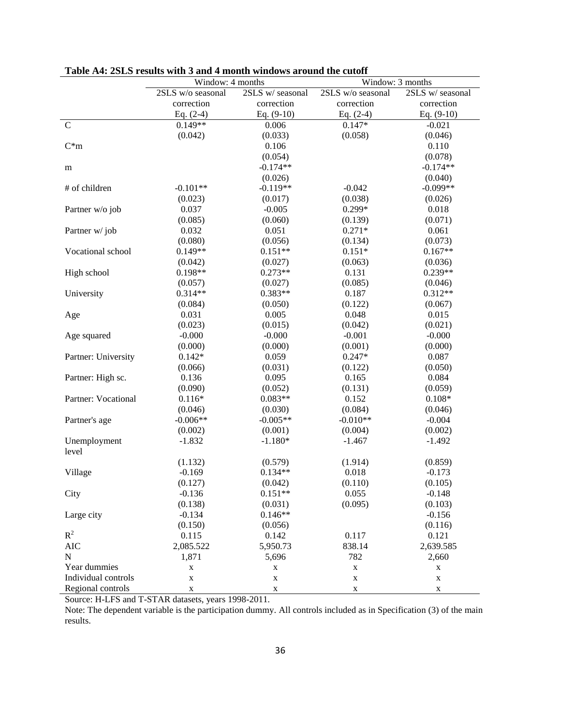|                     | Window: 4 months  |                  | Window: 3 months  |                 |
|---------------------|-------------------|------------------|-------------------|-----------------|
|                     | 2SLS w/o seasonal | 2SLS w/ seasonal | 2SLS w/o seasonal | 2SLS w/seasonal |
|                     | correction        | correction       | correction        | correction      |
|                     | Eq. $(2-4)$       | Eq. $(9-10)$     | Eq. $(2-4)$       | Eq. $(9-10)$    |
| $\mathbf C$         | $0.149**$         | 0.006            | $0.147*$          | $-0.021$        |
|                     | (0.042)           | (0.033)          | (0.058)           | (0.046)         |
| $C^*m$              |                   | 0.106            |                   | 0.110           |
|                     |                   | (0.054)          |                   | (0.078)         |
| m                   |                   | $-0.174**$       |                   | $-0.174**$      |
|                     |                   | (0.026)          |                   | (0.040)         |
| # of children       | $-0.101**$        | $-0.119**$       | $-0.042$          | $-0.099**$      |
|                     | (0.023)           | (0.017)          | (0.038)           | (0.026)         |
| Partner w/o job     | 0.037             | $-0.005$         | 0.299*            | 0.018           |
|                     | (0.085)           | (0.060)          | (0.139)           | (0.071)         |
| Partner w/job       | 0.032             | 0.051            | $0.271*$          | 0.061           |
|                     | (0.080)           | (0.056)          | (0.134)           | (0.073)         |
| Vocational school   | $0.149**$         | $0.151**$        | $0.151*$          | $0.167**$       |
|                     | (0.042)           | (0.027)          | (0.063)           | (0.036)         |
| High school         | $0.198**$         | $0.273**$        | 0.131             | $0.239**$       |
|                     | (0.057)           | (0.027)          | (0.085)           | (0.046)         |
| University          | $0.314**$         | $0.383**$        | 0.187             | $0.312**$       |
|                     | (0.084)           | (0.050)          | (0.122)           | (0.067)         |
| Age                 | 0.031             | 0.005            | 0.048             | 0.015           |
|                     | (0.023)           | (0.015)          | (0.042)           | (0.021)         |
| Age squared         | $-0.000$          | $-0.000$         | $-0.001$          | $-0.000$        |
|                     | (0.000)           | (0.000)          | (0.001)           | (0.000)         |
| Partner: University | $0.142*$          | 0.059            | $0.247*$          | 0.087           |
|                     | (0.066)           | (0.031)          | (0.122)           | (0.050)         |
| Partner: High sc.   | 0.136             | 0.095            | 0.165             | 0.084           |
|                     | (0.090)           | (0.052)          | (0.131)           | (0.059)         |
| Partner: Vocational | $0.116*$          | $0.083**$        | 0.152             | $0.108*$        |
|                     | (0.046)           | (0.030)          | (0.084)           | (0.046)         |
| Partner's age       | $-0.006**$        | $-0.005**$       | $-0.010**$        | $-0.004$        |
|                     | (0.002)           | (0.001)          | (0.004)           | (0.002)         |
| Unemployment        | $-1.832$          | $-1.180*$        | $-1.467$          | $-1.492$        |
| level               |                   |                  |                   |                 |
|                     | (1.132)           | (0.579)          | (1.914)           | (0.859)         |
| Village             | $-0.169$          | $0.134**$        | 0.018             | $-0.173$        |
|                     | (0.127)           | (0.042)          | (0.110)           | (0.105)         |
| City                | $-0.136$          | $0.151**$        | 0.055             | $-0.148$        |
|                     | (0.138)           | (0.031)          | (0.095)           | (0.103)         |
| Large city          | $-0.134$          | $0.146**$        |                   | $-0.156$        |
|                     | (0.150)           | (0.056)          |                   | (0.116)         |
| $R^2$               | 0.115             | 0.142            | 0.117             | 0.121           |
| <b>AIC</b>          | 2,085.522         | 5,950.73         | 838.14            | 2,639.585       |
| ${\bf N}$           | 1,871             | 5,696            | 782               | 2,660           |
| Year dummies        | X                 | X                | $\mathbf X$       | X               |
| Individual controls | $\mathbf X$       | $\mathbf X$      | $\mathbf X$       | $\mathbf X$     |
| Regional controls   | X                 | $\mathbf X$      | $\mathbf X$       | X               |

### **Table A4: 2SLS results with 3 and 4 month windows around the cutoff**

Source: H-LFS and T-STAR datasets, years 1998-2011.

Note: The dependent variable is the participation dummy. All controls included as in Specification (3) of the main results.